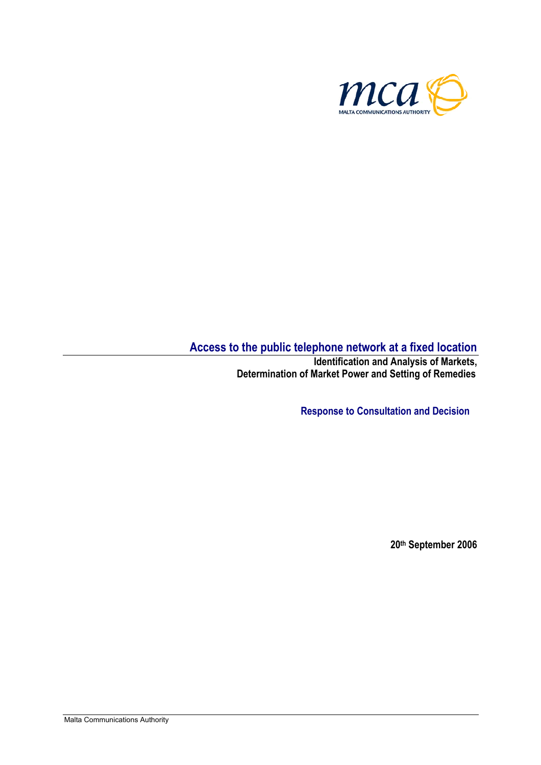

# **Access to the public telephone network at a fixed location**

**Identification and Analysis of Markets, Determination of Market Power and Setting of Remedies** 

**Response to Consultation and Decision** 

**20th September 2006**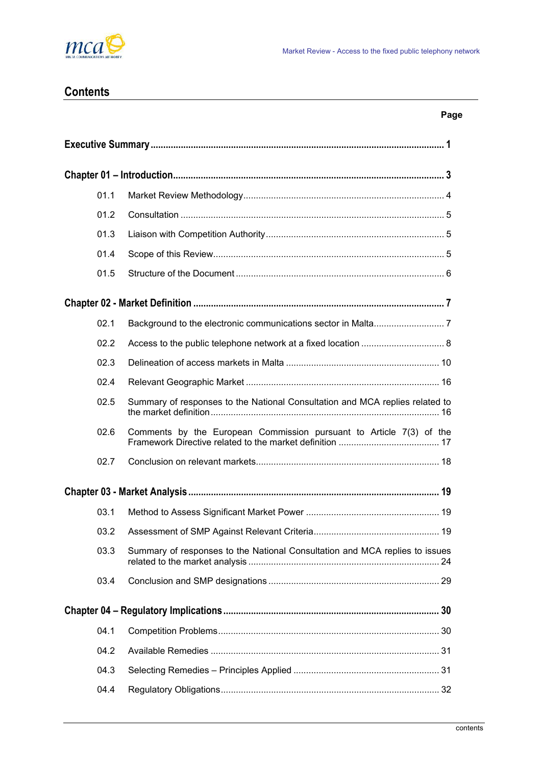

# **Contents**

# **Page**

| 01.1 |                                                                              |
|------|------------------------------------------------------------------------------|
| 01.2 |                                                                              |
| 01.3 |                                                                              |
| 01.4 |                                                                              |
| 01.5 |                                                                              |
|      |                                                                              |
| 02.1 |                                                                              |
| 02.2 |                                                                              |
| 02.3 |                                                                              |
| 02.4 |                                                                              |
| 02.5 | Summary of responses to the National Consultation and MCA replies related to |
| 02.6 | Comments by the European Commission pursuant to Article 7(3) of the          |
| 02.7 |                                                                              |
|      |                                                                              |
| 03.1 |                                                                              |
| 03.2 |                                                                              |
| 03.3 | Summary of responses to the National Consultation and MCA replies to issues  |
| 03.4 |                                                                              |
|      |                                                                              |
| 04.1 |                                                                              |
| 04.2 |                                                                              |
| 04.3 |                                                                              |
| 04.4 |                                                                              |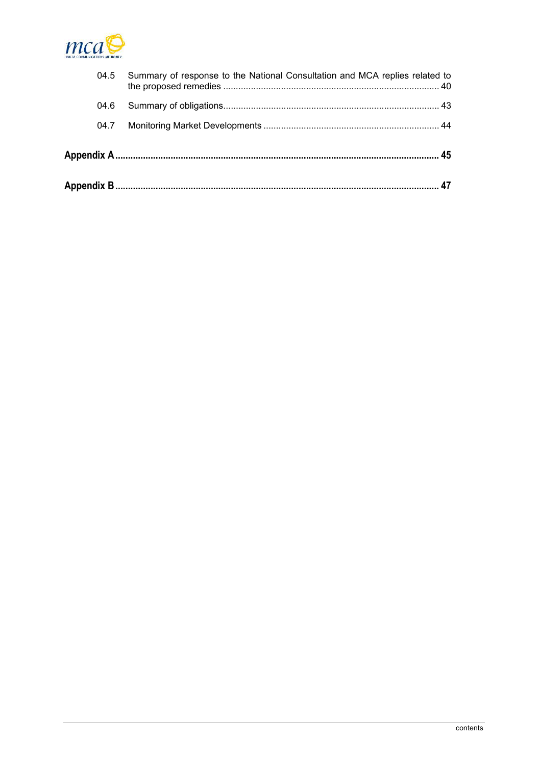

| 04.7 |                                                                             |  |
|------|-----------------------------------------------------------------------------|--|
| 04.6 |                                                                             |  |
| 04.5 | Summary of response to the National Consultation and MCA replies related to |  |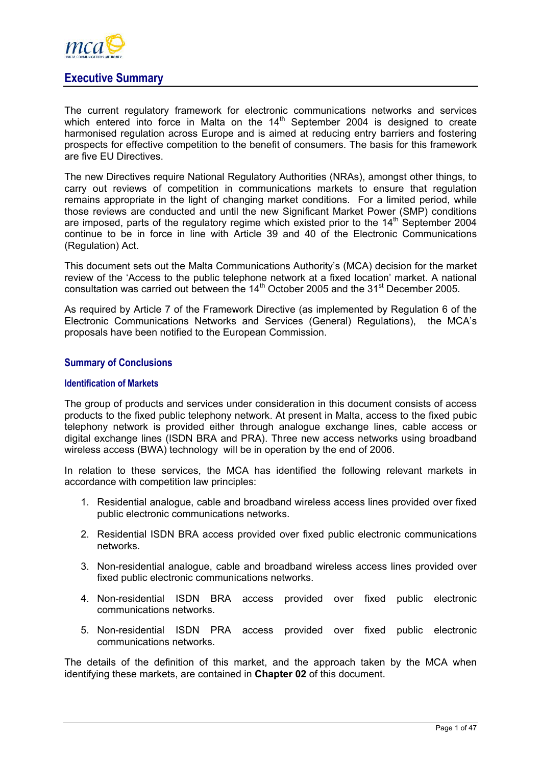<span id="page-3-0"></span>

# **Executive Summary**

The current regulatory framework for electronic communications networks and services which entered into force in Malta on the 14<sup>th</sup> September 2004 is designed to create harmonised regulation across Europe and is aimed at reducing entry barriers and fostering prospects for effective competition to the benefit of consumers. The basis for this framework are five EU Directives.

The new Directives require National Regulatory Authorities (NRAs), amongst other things, to carry out reviews of competition in communications markets to ensure that regulation remains appropriate in the light of changing market conditions. For a limited period, while those reviews are conducted and until the new Significant Market Power (SMP) conditions are imposed, parts of the regulatory regime which existed prior to the  $14<sup>th</sup>$  September 2004 continue to be in force in line with Article 39 and 40 of the Electronic Communications (Regulation) Act.

This document sets out the Malta Communications Authority's (MCA) decision for the market review of the 'Access to the public telephone network at a fixed location' market. A national consultation was carried out between the  $14<sup>th</sup>$  October 2005 and the 31<sup>st</sup> December 2005.

As required by Article 7 of the Framework Directive (as implemented by Regulation 6 of the Electronic Communications Networks and Services (General) Regulations), the MCA's proposals have been notified to the European Commission.

# **Summary of Conclusions**

#### **Identification of Markets**

The group of products and services under consideration in this document consists of access products to the fixed public telephony network. At present in Malta, access to the fixed pubic telephony network is provided either through analogue exchange lines, cable access or digital exchange lines (ISDN BRA and PRA). Three new access networks using broadband wireless access (BWA) technology will be in operation by the end of 2006.

In relation to these services, the MCA has identified the following relevant markets in accordance with competition law principles:

- 1. Residential analogue, cable and broadband wireless access lines provided over fixed public electronic communications networks.
- 2. Residential ISDN BRA access provided over fixed public electronic communications networks.
- 3. Non-residential analogue, cable and broadband wireless access lines provided over fixed public electronic communications networks.
- 4. Non-residential ISDN BRA access provided over fixed public electronic communications networks.
- 5. Non-residential ISDN PRA access provided over fixed public electronic communications networks.

The details of the definition of this market, and the approach taken by the MCA when identifying these markets, are contained in **Chapter 02** of this document.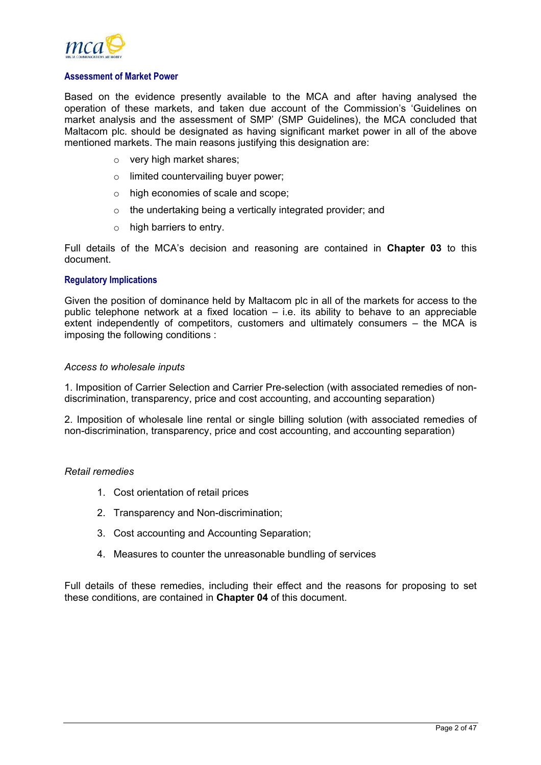

#### **Assessment of Market Power**

Based on the evidence presently available to the MCA and after having analysed the operation of these markets, and taken due account of the Commission's 'Guidelines on market analysis and the assessment of SMP' (SMP Guidelines), the MCA concluded that Maltacom plc. should be designated as having significant market power in all of the above mentioned markets. The main reasons justifying this designation are:

- o very high market shares;
- o limited countervailing buyer power;
- o high economies of scale and scope;
- o the undertaking being a vertically integrated provider; and
- $\circ$  high barriers to entry.

Full details of the MCA's decision and reasoning are contained in **Chapter 03** to this document.

#### **Regulatory Implications**

Given the position of dominance held by Maltacom plc in all of the markets for access to the public telephone network at a fixed location – i.e. its ability to behave to an appreciable extent independently of competitors, customers and ultimately consumers – the MCA is imposing the following conditions :

#### *Access to wholesale inputs*

1. Imposition of Carrier Selection and Carrier Pre-selection (with associated remedies of nondiscrimination, transparency, price and cost accounting, and accounting separation)

2. Imposition of wholesale line rental or single billing solution (with associated remedies of non-discrimination, transparency, price and cost accounting, and accounting separation)

#### *Retail remedies*

- 1. Cost orientation of retail prices
- 2. Transparency and Non-discrimination;
- 3. Cost accounting and Accounting Separation;
- 4. Measures to counter the unreasonable bundling of services

Full details of these remedies, including their effect and the reasons for proposing to set these conditions, are contained in **Chapter 04** of this document.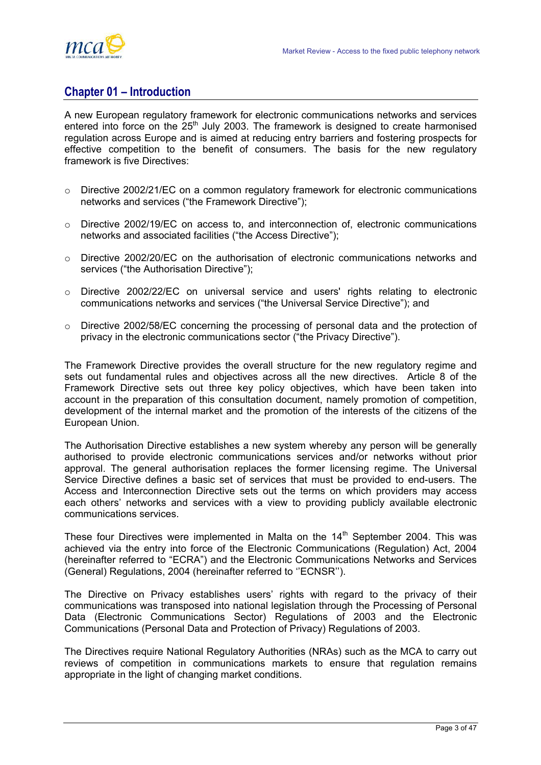<span id="page-5-0"></span>

# **Chapter 01 – Introduction**

A new European regulatory framework for electronic communications networks and services entered into force on the  $25<sup>th</sup>$  July 2003. The framework is designed to create harmonised regulation across Europe and is aimed at reducing entry barriers and fostering prospects for effective competition to the benefit of consumers. The basis for the new regulatory framework is five Directives:

- o Directive 2002/21/EC on a common regulatory framework for electronic communications networks and services ("the Framework Directive");
- o Directive 2002/19/EC on access to, and interconnection of, electronic communications networks and associated facilities ("the Access Directive");
- $\circ$  Directive 2002/20/EC on the authorisation of electronic communications networks and services ("the Authorisation Directive");
- o Directive 2002/22/EC on universal service and users' rights relating to electronic communications networks and services ("the Universal Service Directive"); and
- $\circ$  Directive 2002/58/EC concerning the processing of personal data and the protection of privacy in the electronic communications sector ("the Privacy Directive").

The Framework Directive provides the overall structure for the new regulatory regime and sets out fundamental rules and objectives across all the new directives. Article 8 of the Framework Directive sets out three key policy objectives, which have been taken into account in the preparation of this consultation document, namely promotion of competition, development of the internal market and the promotion of the interests of the citizens of the European Union.

The Authorisation Directive establishes a new system whereby any person will be generally authorised to provide electronic communications services and/or networks without prior approval. The general authorisation replaces the former licensing regime. The Universal Service Directive defines a basic set of services that must be provided to end-users. The Access and Interconnection Directive sets out the terms on which providers may access each others' networks and services with a view to providing publicly available electronic communications services.

These four Directives were implemented in Malta on the  $14<sup>th</sup>$  September 2004. This was achieved via the entry into force of the Electronic Communications (Regulation) Act, 2004 (hereinafter referred to "ECRA") and the Electronic Communications Networks and Services (General) Regulations, 2004 (hereinafter referred to ''ECNSR'').

The Directive on Privacy establishes users' rights with regard to the privacy of their communications was transposed into national legislation through the Processing of Personal Data (Electronic Communications Sector) Regulations of 2003 and the Electronic Communications (Personal Data and Protection of Privacy) Regulations of 2003.

The Directives require National Regulatory Authorities (NRAs) such as the MCA to carry out reviews of competition in communications markets to ensure that regulation remains appropriate in the light of changing market conditions.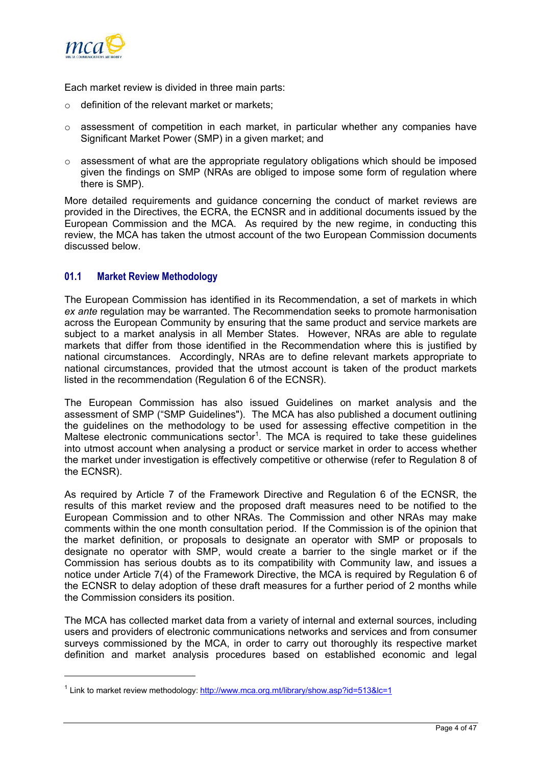<span id="page-6-0"></span>

l

Each market review is divided in three main parts:

- $\circ$  definition of the relevant market or markets;
- $\circ$  assessment of competition in each market, in particular whether any companies have Significant Market Power (SMP) in a given market; and
- o assessment of what are the appropriate regulatory obligations which should be imposed given the findings on SMP (NRAs are obliged to impose some form of regulation where there is SMP).

More detailed requirements and guidance concerning the conduct of market reviews are provided in the Directives, the ECRA, the ECNSR and in additional documents issued by the European Commission and the MCA. As required by the new regime, in conducting this review, the MCA has taken the utmost account of the two European Commission documents discussed below.

# **01.1 Market Review Methodology**

The European Commission has identified in its Recommendation, a set of markets in which *ex ante* regulation may be warranted. The Recommendation seeks to promote harmonisation across the European Community by ensuring that the same product and service markets are subject to a market analysis in all Member States. However, NRAs are able to regulate markets that differ from those identified in the Recommendation where this is justified by national circumstances. Accordingly, NRAs are to define relevant markets appropriate to national circumstances, provided that the utmost account is taken of the product markets listed in the recommendation (Regulation 6 of the ECNSR).

The European Commission has also issued Guidelines on market analysis and the assessment of SMP ("SMP Guidelines"). The MCA has also published a document outlining the guidelines on the methodology to be used for assessing effective competition in the Maltese electronic communications sector<sup>[1](#page-6-1)</sup>. The MCA is required to take these guidelines into utmost account when analysing a product or service market in order to access whether the market under investigation is effectively competitive or otherwise (refer to Regulation 8 of the ECNSR).

As required by Article 7 of the Framework Directive and Regulation 6 of the ECNSR, the results of this market review and the proposed draft measures need to be notified to the European Commission and to other NRAs. The Commission and other NRAs may make comments within the one month consultation period. If the Commission is of the opinion that the market definition, or proposals to designate an operator with SMP or proposals to designate no operator with SMP, would create a barrier to the single market or if the Commission has serious doubts as to its compatibility with Community law, and issues a notice under Article 7(4) of the Framework Directive, the MCA is required by Regulation 6 of the ECNSR to delay adoption of these draft measures for a further period of 2 months while the Commission considers its position.

The MCA has collected market data from a variety of internal and external sources, including users and providers of electronic communications networks and services and from consumer surveys commissioned by the MCA, in order to carry out thoroughly its respective market definition and market analysis procedures based on established economic and legal

<span id="page-6-1"></span><sup>&</sup>lt;sup>1</sup> Link to market review methodology:<http://www.mca.org.mt/library/show.asp?id=513&lc=1>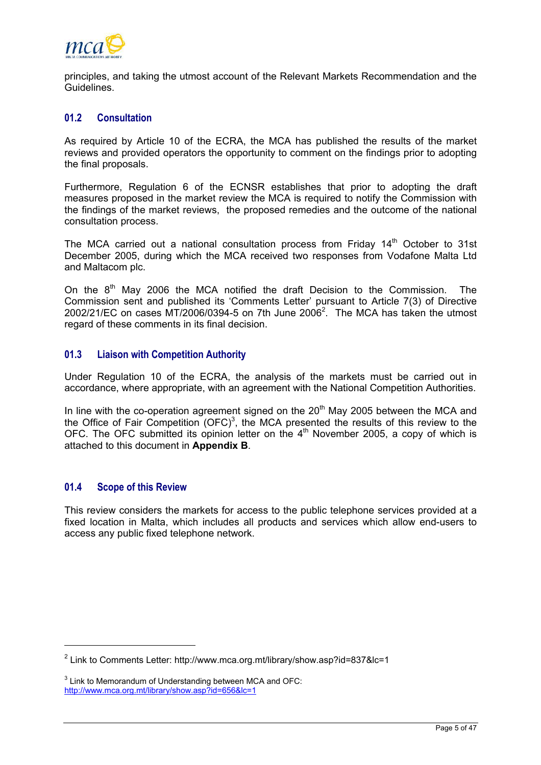<span id="page-7-0"></span>

principles, and taking the utmost account of the Relevant Markets Recommendation and the Guidelines.

# **01.2 Consultation**

As required by Article 10 of the ECRA, the MCA has published the results of the market reviews and provided operators the opportunity to comment on the findings prior to adopting the final proposals.

Furthermore, Regulation 6 of the ECNSR establishes that prior to adopting the draft measures proposed in the market review the MCA is required to notify the Commission with the findings of the market reviews, the proposed remedies and the outcome of the national consultation process.

The MCA carried out a national consultation process from Friday  $14<sup>th</sup>$  October to 31st December 2005, during which the MCA received two responses from Vodafone Malta Ltd and Maltacom plc.

On the  $8<sup>th</sup>$  May 2006 the MCA notified the draft Decision to the Commission. The Commission sent and published its 'Comments Letter' pursuant to Article 7(3) of Directive [2](#page-7-1)002/21/EC on cases MT/2006/0394-5 on 7th June 2006<sup>2</sup>. The MCA has taken the utmost regard of these comments in its final decision.

# **01.3 Liaison with Competition Authority**

Under Regulation 10 of the ECRA, the analysis of the markets must be carried out in accordance, where appropriate, with an agreement with the National Competition Authorities.

In line with the co-operation agreement signed on the  $20<sup>th</sup>$  May 2005 between the MCA and the Office of Fair Competition  $(OFC)^3$ , the MCA presented the results of this review to the OFC. The OFC submitted its opinion letter on the  $4<sup>th</sup>$  November 2005, a copy of which is attached to this document in **Appendix B**.

# **01.4 Scope of this Review**

l

This review considers the markets for access to the public telephone services provided at a fixed location in Malta, which includes all products and services which allow end-users to access any public fixed telephone network.

<span id="page-7-1"></span> $^2$  Link to Comments Letter: http://www.mca.org.mt/library/show.asp?id=837&lc=1

<span id="page-7-2"></span> $3$  Link to Memorandum of Understanding between MCA and OFC: <http://www.mca.org.mt/library/show.asp?id=656&lc=1>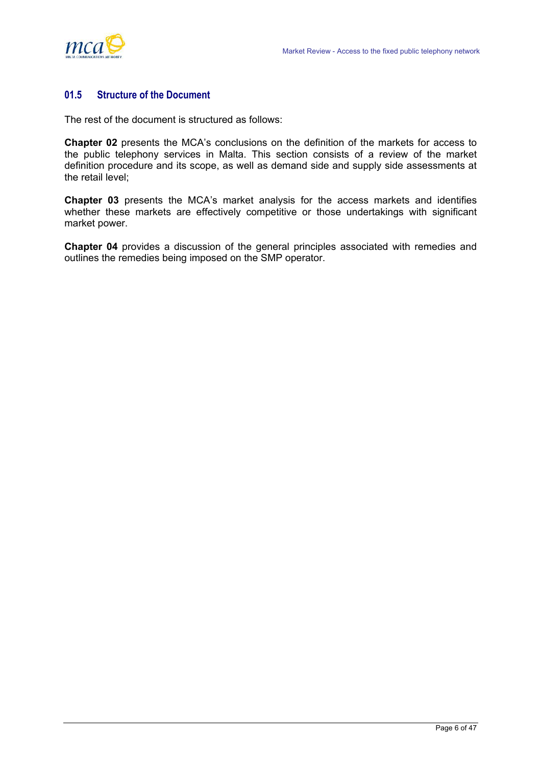<span id="page-8-0"></span>

# **01.5 Structure of the Document**

The rest of the document is structured as follows:

**Chapter 02** presents the MCA's conclusions on the definition of the markets for access to the public telephony services in Malta. This section consists of a review of the market definition procedure and its scope, as well as demand side and supply side assessments at the retail level;

**Chapter 03** presents the MCA's market analysis for the access markets and identifies whether these markets are effectively competitive or those undertakings with significant market power.

**Chapter 04** provides a discussion of the general principles associated with remedies and outlines the remedies being imposed on the SMP operator.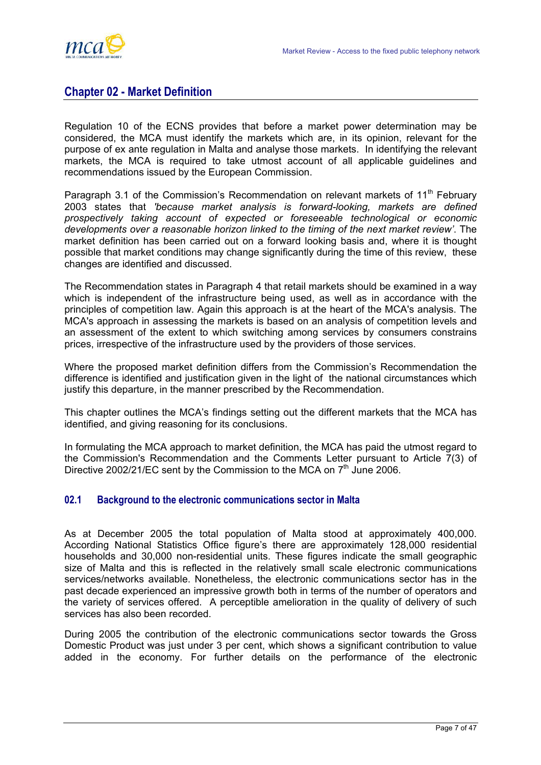# <span id="page-9-0"></span>**Chapter 02 - Market Definition**

Regulation 10 of the ECNS provides that before a market power determination may be considered, the MCA must identify the markets which are, in its opinion, relevant for the purpose of ex ante regulation in Malta and analyse those markets. In identifying the relevant markets, the MCA is required to take utmost account of all applicable guidelines and recommendations issued by the European Commission.

Paragraph 3.1 of the Commission's Recommendation on relevant markets of  $11<sup>th</sup>$  February 2003 states that *'because market analysis is forward-looking, markets are defined prospectively taking account of expected or foreseeable technological or economic developments over a reasonable horizon linked to the timing of the next market review'*. The market definition has been carried out on a forward looking basis and, where it is thought possible that market conditions may change significantly during the time of this review, these changes are identified and discussed.

The Recommendation states in Paragraph 4 that retail markets should be examined in a way which is independent of the infrastructure being used, as well as in accordance with the principles of competition law. Again this approach is at the heart of the MCA's analysis. The MCA's approach in assessing the markets is based on an analysis of competition levels and an assessment of the extent to which switching among services by consumers constrains prices, irrespective of the infrastructure used by the providers of those services.

Where the proposed market definition differs from the Commission's Recommendation the difference is identified and justification given in the light of the national circumstances which justify this departure, in the manner prescribed by the Recommendation.

This chapter outlines the MCA's findings setting out the different markets that the MCA has identified, and giving reasoning for its conclusions.

In formulating the MCA approach to market definition, the MCA has paid the utmost regard to the Commission's Recommendation and the Comments Letter pursuant to Article 7(3) of Directive 2002/21/EC sent by the Commission to the MCA on  $7<sup>th</sup>$  June 2006.

# **02.1 Background to the electronic communications sector in Malta**

As at December 2005 the total population of Malta stood at approximately 400,000. According National Statistics Office figure's there are approximately 128,000 residential households and 30,000 non-residential units. These figures indicate the small geographic size of Malta and this is reflected in the relatively small scale electronic communications services/networks available. Nonetheless, the electronic communications sector has in the past decade experienced an impressive growth both in terms of the number of operators and the variety of services offered. A perceptible amelioration in the quality of delivery of such services has also been recorded.

During 2005 the contribution of the electronic communications sector towards the Gross Domestic Product was just under 3 per cent, which shows a significant contribution to value added in the economy. For further details on the performance of the electronic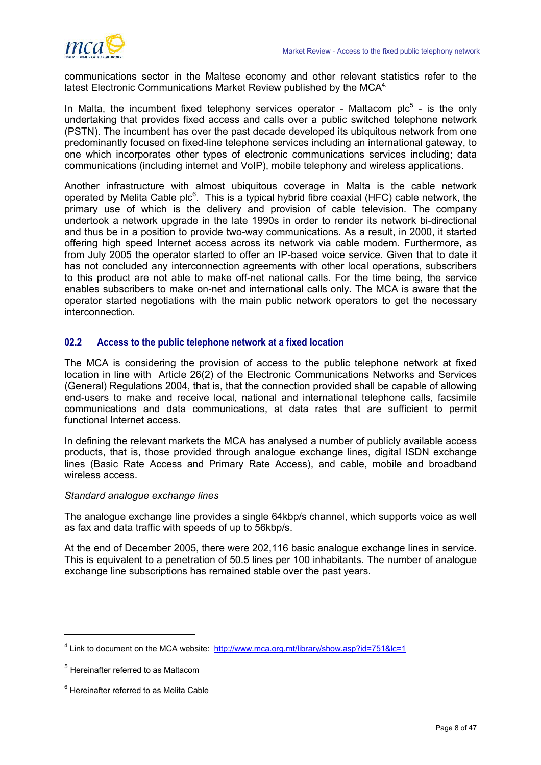<span id="page-10-0"></span>

communications sector in the Maltese economy and other relevant statistics refer to the latestElectronic Communications Market Review published by the MCA<sup>4.</sup>

In Malta, the incumbent fixed telephony services operator - Maltacom  $p/c<sup>5</sup>$  $p/c<sup>5</sup>$  $p/c<sup>5</sup>$  - is the only undertaking that provides fixed access and calls over a public switched telephone network (PSTN). The incumbent has over the past decade developed its ubiquitous network from one predominantly focused on fixed-line telephone services including an international gateway, to one which incorporates other types of electronic communications services including; data communications (including internet and VoIP), mobile telephony and wireless applications.

Another infrastructure with almost ubiquitous coverage in Malta is the cable network operated by Melita Cable plc $6$ . This is a typical hybrid fibre coaxial (HFC) cable network, the primary use of which is the delivery and provision of cable television. The company undertook a network upgrade in the late 1990s in order to render its network bi-directional and thus be in a position to provide two-way communications. As a result, in 2000, it started offering high speed Internet access across its network via cable modem. Furthermore, as from July 2005 the operator started to offer an IP-based voice service. Given that to date it has not concluded any interconnection agreements with other local operations, subscribers to this product are not able to make off-net national calls. For the time being, the service enables subscribers to make on-net and international calls only. The MCA is aware that the operator started negotiations with the main public network operators to get the necessary interconnection.

# **02.2 Access to the public telephone network at a fixed location**

The MCA is considering the provision of access to the public telephone network at fixed location in line with Article 26(2) of the Electronic Communications Networks and Services (General) Regulations 2004, that is, that the connection provided shall be capable of allowing end-users to make and receive local, national and international telephone calls, facsimile communications and data communications, at data rates that are sufficient to permit functional Internet access.

In defining the relevant markets the MCA has analysed a number of publicly available access products, that is, those provided through analogue exchange lines, digital ISDN exchange lines (Basic Rate Access and Primary Rate Access), and cable, mobile and broadband wireless access.

# *Standard analogue exchange lines*

The analogue exchange line provides a single 64kbp/s channel, which supports voice as well as fax and data traffic with speeds of up to 56kbp/s.

At the end of December 2005, there were 202,116 basic analogue exchange lines in service. This is equivalent to a penetration of 50.5 lines per 100 inhabitants. The number of analogue exchange line subscriptions has remained stable over the past years.

l

<span id="page-10-1"></span><sup>&</sup>lt;sup>4</sup> Link to document on the MCA website: <http://www.mca.org.mt/library/show.asp?id=751&lc=1>

<span id="page-10-2"></span><sup>5</sup> Hereinafter referred to as Maltacom

<span id="page-10-3"></span> $^6$  Hereinafter referred to as Melita Cable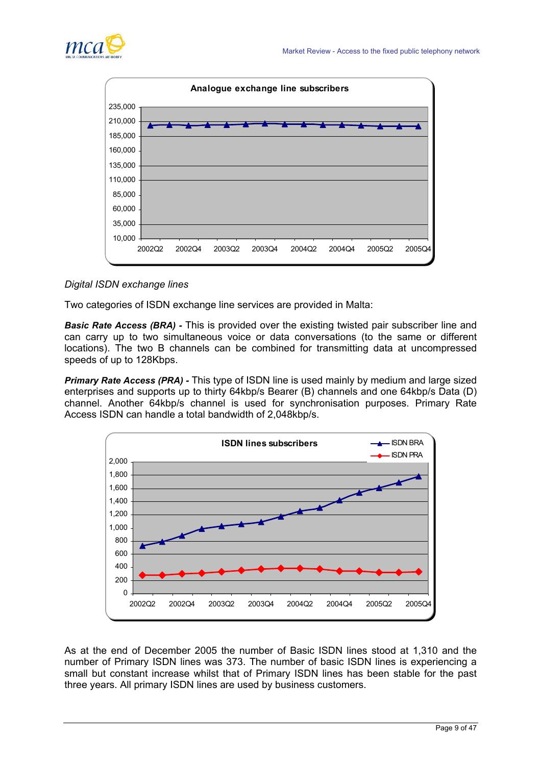



# *Digital ISDN exchange lines*

Two categories of ISDN exchange line services are provided in Malta:

*Basic Rate Access (BRA) -* This is provided over the existing twisted pair subscriber line and can carry up to two simultaneous voice or data conversations (to the same or different locations). The two B channels can be combined for transmitting data at uncompressed speeds of up to 128Kbps.

*Primary Rate Access (PRA) -* This type of ISDN line is used mainly by medium and large sized enterprises and supports up to thirty 64kbp/s Bearer (B) channels and one 64kbp/s Data (D) channel. Another 64kbp/s channel is used for synchronisation purposes. Primary Rate Access ISDN can handle a total bandwidth of 2,048kbp/s.



As at the end of December 2005 the number of Basic ISDN lines stood at 1,310 and the number of Primary ISDN lines was 373. The number of basic ISDN lines is experiencing a small but constant increase whilst that of Primary ISDN lines has been stable for the past three years. All primary ISDN lines are used by business customers.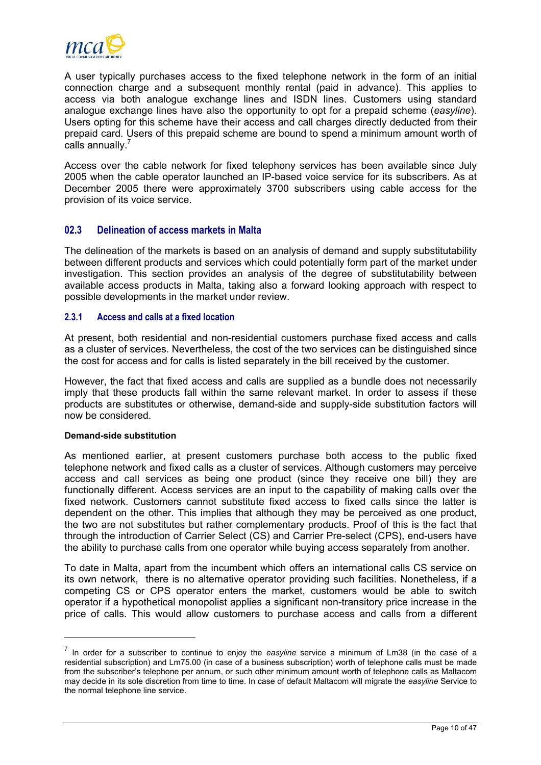<span id="page-12-0"></span>

A user typically purchases access to the fixed telephone network in the form of an initial connection charge and a subsequent monthly rental (paid in advance). This applies to access via both analogue exchange lines and ISDN lines. Customers using standard analogue exchange lines have also the opportunity to opt for a prepaid scheme (*easyline*). Users opting for this scheme have their access and call charges directly deducted from their prepaid card. Users of this prepaid scheme are bound to spend a minimum amount worth of calls annually.<sup>7</sup>

Access over the cable network for fixed telephony services has been available since July 2005 when the cable operator launched an IP-based voice service for its subscribers. As at December 2005 there were approximately 3700 subscribers using cable access for the provision of its voice service.

# **02.3 Delineation of access markets in Malta**

The delineation of the markets is based on an analysis of demand and supply substitutability between different products and services which could potentially form part of the market under investigation. This section provides an analysis of the degree of substitutability between available access products in Malta, taking also a forward looking approach with respect to possible developments in the market under review.

### **2.3.1 Access and calls at a fixed location**

At present, both residential and non-residential customers purchase fixed access and calls as a cluster of services. Nevertheless, the cost of the two services can be distinguished since the cost for access and for calls is listed separately in the bill received by the customer.

However, the fact that fixed access and calls are supplied as a bundle does not necessarily imply that these products fall within the same relevant market. In order to assess if these products are substitutes or otherwise, demand-side and supply-side substitution factors will now be considered.

#### **Demand-side substitution**

l

As mentioned earlier, at present customers purchase both access to the public fixed telephone network and fixed calls as a cluster of services. Although customers may perceive access and call services as being one product (since they receive one bill) they are functionally different. Access services are an input to the capability of making calls over the fixed network. Customers cannot substitute fixed access to fixed calls since the latter is dependent on the other. This implies that although they may be perceived as one product, the two are not substitutes but rather complementary products. Proof of this is the fact that through the introduction of Carrier Select (CS) and Carrier Pre-select (CPS), end-users have the ability to purchase calls from one operator while buying access separately from another.

To date in Malta, apart from the incumbent which offers an international calls CS service on its own network, there is no alternative operator providing such facilities. Nonetheless, if a competing CS or CPS operator enters the market, customers would be able to switch operator if a hypothetical monopolist applies a significant non-transitory price increase in the price of calls. This would allow customers to purchase access and calls from a different

<span id="page-12-1"></span><sup>7</sup> In order for a subscriber to continue to enjoy the *easyline* service a minimum of Lm38 (in the case of a residential subscription) and Lm75.00 (in case of a business subscription) worth of telephone calls must be made from the subscriber's telephone per annum, or such other minimum amount worth of telephone calls as Maltacom may decide in its sole discretion from time to time. In case of default Maltacom will migrate the *easyline* Service to the normal telephone line service.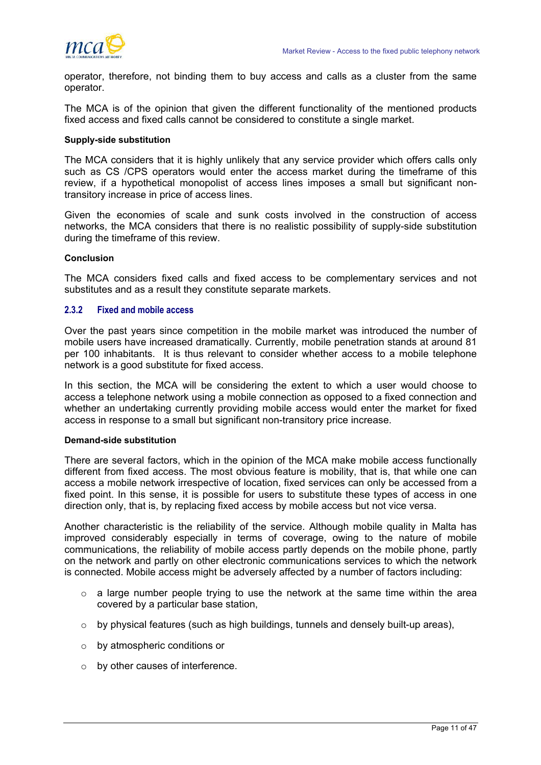

operator, therefore, not binding them to buy access and calls as a cluster from the same operator.

The MCA is of the opinion that given the different functionality of the mentioned products fixed access and fixed calls cannot be considered to constitute a single market.

#### **Supply-side substitution**

The MCA considers that it is highly unlikely that any service provider which offers calls only such as CS /CPS operators would enter the access market during the timeframe of this review, if a hypothetical monopolist of access lines imposes a small but significant nontransitory increase in price of access lines.

Given the economies of scale and sunk costs involved in the construction of access networks, the MCA considers that there is no realistic possibility of supply-side substitution during the timeframe of this review.

### **Conclusion**

The MCA considers fixed calls and fixed access to be complementary services and not substitutes and as a result they constitute separate markets.

### **2.3.2 Fixed and mobile access**

Over the past years since competition in the mobile market was introduced the number of mobile users have increased dramatically. Currently, mobile penetration stands at around 81 per 100 inhabitants. It is thus relevant to consider whether access to a mobile telephone network is a good substitute for fixed access.

In this section, the MCA will be considering the extent to which a user would choose to access a telephone network using a mobile connection as opposed to a fixed connection and whether an undertaking currently providing mobile access would enter the market for fixed access in response to a small but significant non-transitory price increase.

#### **Demand-side substitution**

There are several factors, which in the opinion of the MCA make mobile access functionally different from fixed access. The most obvious feature is mobility, that is, that while one can access a mobile network irrespective of location, fixed services can only be accessed from a fixed point. In this sense, it is possible for users to substitute these types of access in one direction only, that is, by replacing fixed access by mobile access but not vice versa.

Another characteristic is the reliability of the service. Although mobile quality in Malta has improved considerably especially in terms of coverage, owing to the nature of mobile communications, the reliability of mobile access partly depends on the mobile phone, partly on the network and partly on other electronic communications services to which the network is connected. Mobile access might be adversely affected by a number of factors including:

- $\circ$  a large number people trying to use the network at the same time within the area covered by a particular base station,
- $\circ$  by physical features (such as high buildings, tunnels and densely built-up areas),
- o by atmospheric conditions or
- o by other causes of interference.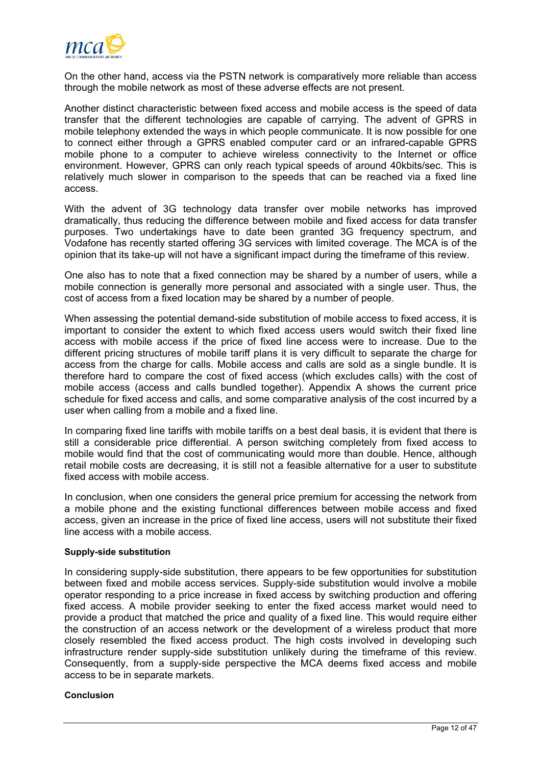

On the other hand, access via the PSTN network is comparatively more reliable than access through the mobile network as most of these adverse effects are not present.

Another distinct characteristic between fixed access and mobile access is the speed of data transfer that the different technologies are capable of carrying. The advent of GPRS in mobile telephony extended the ways in which people communicate. It is now possible for one to connect either through a GPRS enabled computer card or an infrared-capable GPRS mobile phone to a computer to achieve wireless connectivity to the Internet or office environment. However, GPRS can only reach typical speeds of around 40kbits/sec. This is relatively much slower in comparison to the speeds that can be reached via a fixed line access.

With the advent of 3G technology data transfer over mobile networks has improved dramatically, thus reducing the difference between mobile and fixed access for data transfer purposes. Two undertakings have to date been granted 3G frequency spectrum, and Vodafone has recently started offering 3G services with limited coverage. The MCA is of the opinion that its take-up will not have a significant impact during the timeframe of this review.

One also has to note that a fixed connection may be shared by a number of users, while a mobile connection is generally more personal and associated with a single user. Thus, the cost of access from a fixed location may be shared by a number of people.

When assessing the potential demand-side substitution of mobile access to fixed access, it is important to consider the extent to which fixed access users would switch their fixed line access with mobile access if the price of fixed line access were to increase. Due to the different pricing structures of mobile tariff plans it is very difficult to separate the charge for access from the charge for calls. Mobile access and calls are sold as a single bundle. It is therefore hard to compare the cost of fixed access (which excludes calls) with the cost of mobile access (access and calls bundled together). Appendix A shows the current price schedule for fixed access and calls, and some comparative analysis of the cost incurred by a user when calling from a mobile and a fixed line.

In comparing fixed line tariffs with mobile tariffs on a best deal basis, it is evident that there is still a considerable price differential. A person switching completely from fixed access to mobile would find that the cost of communicating would more than double. Hence, although retail mobile costs are decreasing, it is still not a feasible alternative for a user to substitute fixed access with mobile access.

In conclusion, when one considers the general price premium for accessing the network from a mobile phone and the existing functional differences between mobile access and fixed access, given an increase in the price of fixed line access, users will not substitute their fixed line access with a mobile access.

#### **Supply-side substitution**

In considering supply-side substitution, there appears to be few opportunities for substitution between fixed and mobile access services. Supply-side substitution would involve a mobile operator responding to a price increase in fixed access by switching production and offering fixed access. A mobile provider seeking to enter the fixed access market would need to provide a product that matched the price and quality of a fixed line. This would require either the construction of an access network or the development of a wireless product that more closely resembled the fixed access product. The high costs involved in developing such infrastructure render supply-side substitution unlikely during the timeframe of this review. Consequently, from a supply-side perspective the MCA deems fixed access and mobile access to be in separate markets.

#### **Conclusion**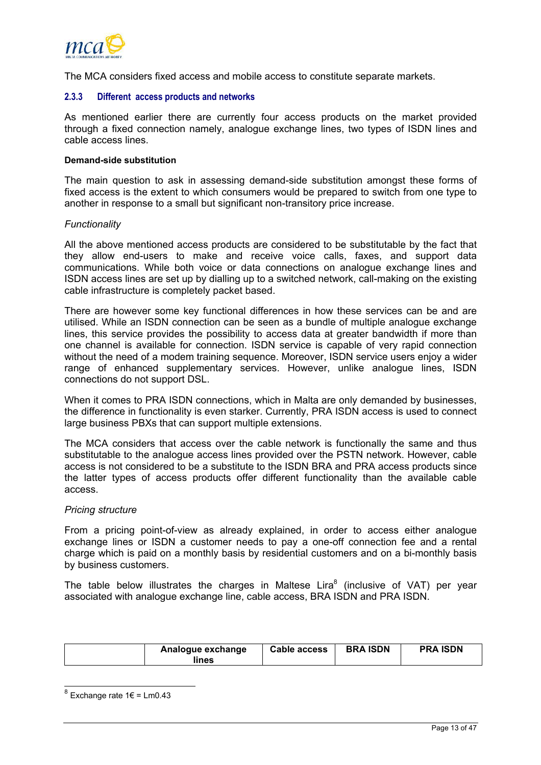

The MCA considers fixed access and mobile access to constitute separate markets.

#### **2.3.3 Different access products and networks**

As mentioned earlier there are currently four access products on the market provided through a fixed connection namely, analogue exchange lines, two types of ISDN lines and cable access lines.

#### **Demand-side substitution**

The main question to ask in assessing demand-side substitution amongst these forms of fixed access is the extent to which consumers would be prepared to switch from one type to another in response to a small but significant non-transitory price increase.

#### *Functionality*

All the above mentioned access products are considered to be substitutable by the fact that they allow end-users to make and receive voice calls, faxes, and support data communications. While both voice or data connections on analogue exchange lines and ISDN access lines are set up by dialling up to a switched network, call-making on the existing cable infrastructure is completely packet based.

There are however some key functional differences in how these services can be and are utilised. While an ISDN connection can be seen as a bundle of multiple analogue exchange lines, this service provides the possibility to access data at greater bandwidth if more than one channel is available for connection. ISDN service is capable of very rapid connection without the need of a modem training sequence. Moreover, ISDN service users enjoy a wider range of enhanced supplementary services. However, unlike analogue lines, ISDN connections do not support DSL.

When it comes to PRA ISDN connections, which in Malta are only demanded by businesses, the difference in functionality is even starker. Currently, PRA ISDN access is used to connect large business PBXs that can support multiple extensions.

The MCA considers that access over the cable network is functionally the same and thus substitutable to the analogue access lines provided over the PSTN network. However, cable access is not considered to be a substitute to the ISDN BRA and PRA access products since the latter types of access products offer different functionality than the available cable access.

#### *Pricing structure*

From a pricing point-of-view as already explained, in order to access either analogue exchange lines or ISDN a customer needs to pay a one-off connection fee and a rental charge which is paid on a monthly basis by residential customers and on a bi-monthly basis by business customers.

The table below illustrates the charges in Maltese Lira<sup>[8](#page-15-0)</sup> (inclusive of VAT) per vear associated with analogue exchange line, cable access, BRA ISDN and PRA ISDN.

| Analogue exchange<br>lines | <b>Cable access</b> | <b>BRA ISDN</b> | <b>PRA ISDN</b> |
|----------------------------|---------------------|-----------------|-----------------|
|----------------------------|---------------------|-----------------|-----------------|

<span id="page-15-0"></span> $8$  Exchange rate 1€ = Lm0.43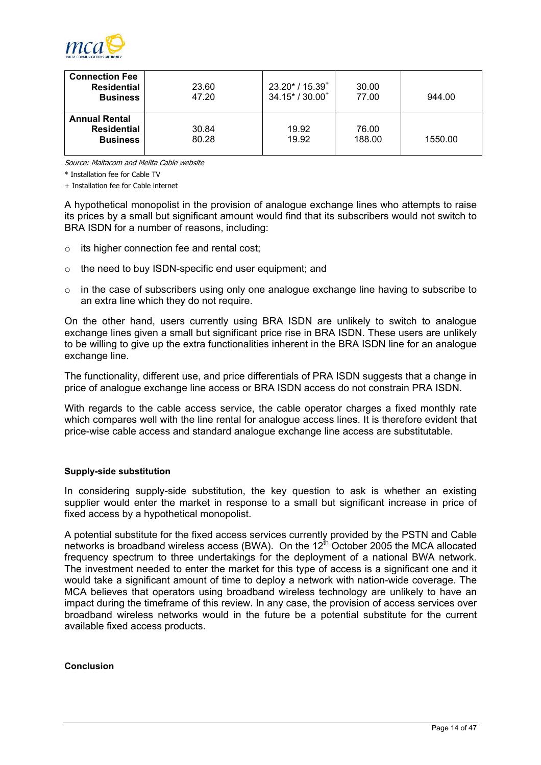

| <b>Connection Fee</b><br><b>Residential</b><br><b>Business</b> | 23.60<br>47.20 | $23.20* / 15.39*$<br>$34.15* / 30.00*$ | 30.00<br>77.00  | 944.00  |
|----------------------------------------------------------------|----------------|----------------------------------------|-----------------|---------|
| <b>Annual Rental</b><br><b>Residential</b><br><b>Business</b>  | 30.84<br>80.28 | 19.92<br>19.92                         | 76.00<br>188.00 | 1550.00 |

Source: Maltacom and Melita Cable website

\* Installation fee for Cable TV

+ Installation fee for Cable internet

A hypothetical monopolist in the provision of analogue exchange lines who attempts to raise its prices by a small but significant amount would find that its subscribers would not switch to BRA ISDN for a number of reasons, including:

- o its higher connection fee and rental cost;
- o the need to buy ISDN-specific end user equipment; and
- o in the case of subscribers using only one analogue exchange line having to subscribe to an extra line which they do not require.

On the other hand, users currently using BRA ISDN are unlikely to switch to analogue exchange lines given a small but significant price rise in BRA ISDN. These users are unlikely to be willing to give up the extra functionalities inherent in the BRA ISDN line for an analogue exchange line.

The functionality, different use, and price differentials of PRA ISDN suggests that a change in price of analogue exchange line access or BRA ISDN access do not constrain PRA ISDN.

With regards to the cable access service, the cable operator charges a fixed monthly rate which compares well with the line rental for analogue access lines. It is therefore evident that price-wise cable access and standard analogue exchange line access are substitutable.

#### **Supply-side substitution**

In considering supply-side substitution, the key question to ask is whether an existing supplier would enter the market in response to a small but significant increase in price of fixed access by a hypothetical monopolist.

A potential substitute for the fixed access services currently provided by the PSTN and Cable networks is broadband wireless access (BWA). On the 12th October 2005 the MCA allocated frequency spectrum to three undertakings for the deployment of a national BWA network. The investment needed to enter the market for this type of access is a significant one and it would take a significant amount of time to deploy a network with nation-wide coverage. The MCA believes that operators using broadband wireless technology are unlikely to have an impact during the timeframe of this review. In any case, the provision of access services over broadband wireless networks would in the future be a potential substitute for the current available fixed access products.

#### **Conclusion**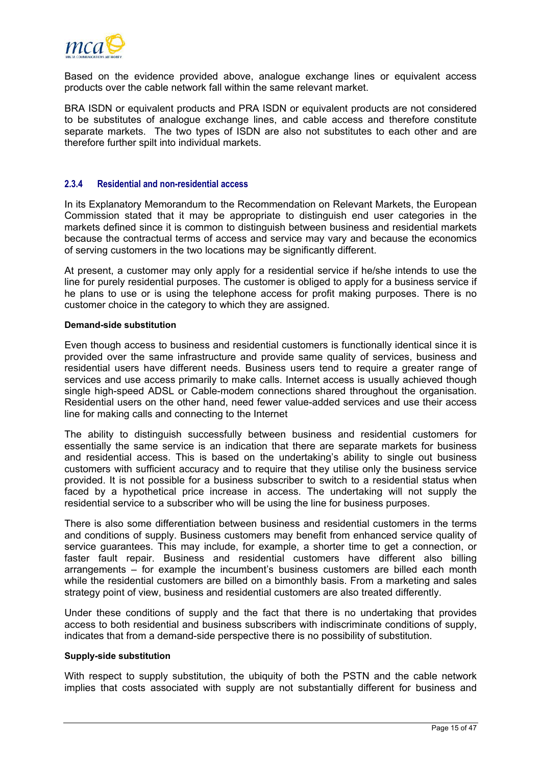

Based on the evidence provided above, analogue exchange lines or equivalent access products over the cable network fall within the same relevant market.

BRA ISDN or equivalent products and PRA ISDN or equivalent products are not considered to be substitutes of analogue exchange lines, and cable access and therefore constitute separate markets. The two types of ISDN are also not substitutes to each other and are therefore further spilt into individual markets.

#### **2.3.4 Residential and non-residential access**

In its Explanatory Memorandum to the Recommendation on Relevant Markets, the European Commission stated that it may be appropriate to distinguish end user categories in the markets defined since it is common to distinguish between business and residential markets because the contractual terms of access and service may vary and because the economics of serving customers in the two locations may be significantly different.

At present, a customer may only apply for a residential service if he/she intends to use the line for purely residential purposes. The customer is obliged to apply for a business service if he plans to use or is using the telephone access for profit making purposes. There is no customer choice in the category to which they are assigned.

#### **Demand-side substitution**

Even though access to business and residential customers is functionally identical since it is provided over the same infrastructure and provide same quality of services, business and residential users have different needs. Business users tend to require a greater range of services and use access primarily to make calls. Internet access is usually achieved though single high-speed ADSL or Cable-modem connections shared throughout the organisation. Residential users on the other hand, need fewer value-added services and use their access line for making calls and connecting to the Internet

The ability to distinguish successfully between business and residential customers for essentially the same service is an indication that there are separate markets for business and residential access. This is based on the undertaking's ability to single out business customers with sufficient accuracy and to require that they utilise only the business service provided. It is not possible for a business subscriber to switch to a residential status when faced by a hypothetical price increase in access. The undertaking will not supply the residential service to a subscriber who will be using the line for business purposes.

There is also some differentiation between business and residential customers in the terms and conditions of supply. Business customers may benefit from enhanced service quality of service guarantees. This may include, for example, a shorter time to get a connection, or faster fault repair. Business and residential customers have different also billing arrangements – for example the incumbent's business customers are billed each month while the residential customers are billed on a bimonthly basis. From a marketing and sales strategy point of view, business and residential customers are also treated differently.

Under these conditions of supply and the fact that there is no undertaking that provides access to both residential and business subscribers with indiscriminate conditions of supply, indicates that from a demand-side perspective there is no possibility of substitution.

#### **Supply-side substitution**

With respect to supply substitution, the ubiquity of both the PSTN and the cable network implies that costs associated with supply are not substantially different for business and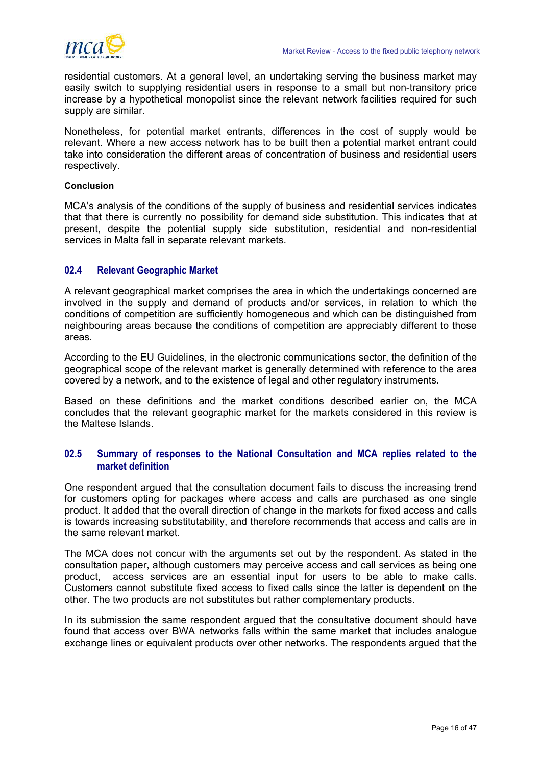<span id="page-18-0"></span>

residential customers. At a general level, an undertaking serving the business market may easily switch to supplying residential users in response to a small but non-transitory price increase by a hypothetical monopolist since the relevant network facilities required for such supply are similar.

Nonetheless, for potential market entrants, differences in the cost of supply would be relevant. Where a new access network has to be built then a potential market entrant could take into consideration the different areas of concentration of business and residential users respectively.

#### **Conclusion**

MCA's analysis of the conditions of the supply of business and residential services indicates that that there is currently no possibility for demand side substitution. This indicates that at present, despite the potential supply side substitution, residential and non-residential services in Malta fall in separate relevant markets.

### **02.4 Relevant Geographic Market**

A relevant geographical market comprises the area in which the undertakings concerned are involved in the supply and demand of products and/or services, in relation to which the conditions of competition are sufficiently homogeneous and which can be distinguished from neighbouring areas because the conditions of competition are appreciably different to those areas.

According to the EU Guidelines, in the electronic communications sector, the definition of the geographical scope of the relevant market is generally determined with reference to the area covered by a network, and to the existence of legal and other regulatory instruments.

Based on these definitions and the market conditions described earlier on, the MCA concludes that the relevant geographic market for the markets considered in this review is the Maltese Islands.

# **02.5 Summary of responses to the National Consultation and MCA replies related to the market definition**

One respondent argued that the consultation document fails to discuss the increasing trend for customers opting for packages where access and calls are purchased as one single product. It added that the overall direction of change in the markets for fixed access and calls is towards increasing substitutability, and therefore recommends that access and calls are in the same relevant market.

The MCA does not concur with the arguments set out by the respondent. As stated in the consultation paper, although customers may perceive access and call services as being one product, access services are an essential input for users to be able to make calls. Customers cannot substitute fixed access to fixed calls since the latter is dependent on the other. The two products are not substitutes but rather complementary products.

In its submission the same respondent argued that the consultative document should have found that access over BWA networks falls within the same market that includes analogue exchange lines or equivalent products over other networks. The respondents argued that the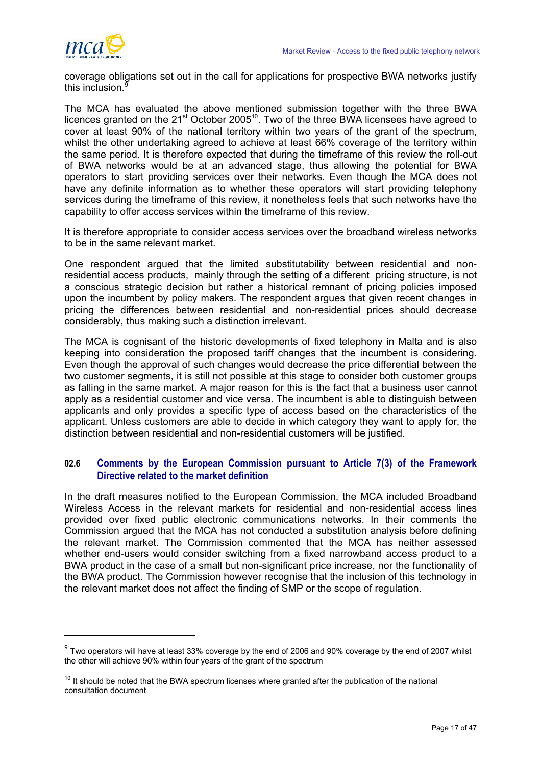<span id="page-19-0"></span>

l

coverage obligations set out in the call for applications for prospective BWA networks justify this inclusion[.](#page-19-1)<sup>9</sup>

The MCA has evaluated the above mentioned submission together with the three BWA licences granted on the 21<sup>st</sup> October 2005<sup>10</sup>. Two of the three BWA licensees have agreed to cover at least 90% of the national territory within two years of the grant of the spectrum, whilst the other undertaking agreed to achieve at least 66% coverage of the territory within the same period. It is therefore expected that during the timeframe of this review the roll-out of BWA networks would be at an advanced stage, thus allowing the potential for BWA operators to start providing services over their networks. Even though the MCA does not have any definite information as to whether these operators will start providing telephony services during the timeframe of this review, it nonetheless feels that such networks have the capability to offer access services within the timeframe of this review.

It is therefore appropriate to consider access services over the broadband wireless networks to be in the same relevant market.

One respondent argued that the limited substitutability between residential and nonresidential access products, mainly through the setting of a different pricing structure, is not a conscious strategic decision but rather a historical remnant of pricing policies imposed upon the incumbent by policy makers. The respondent argues that given recent changes in pricing the differences between residential and non-residential prices should decrease considerably, thus making such a distinction irrelevant.

The MCA is cognisant of the historic developments of fixed telephony in Malta and is also keeping into consideration the proposed tariff changes that the incumbent is considering. Even though the approval of such changes would decrease the price differential between the two customer segments, it is still not possible at this stage to consider both customer groups as falling in the same market. A major reason for this is the fact that a business user cannot apply as a residential customer and vice versa. The incumbent is able to distinguish between applicants and only provides a specific type of access based on the characteristics of the applicant. Unless customers are able to decide in which category they want to apply for, the distinction between residential and non-residential customers will be justified.

# **02.6 Comments by the European Commission pursuant to Article 7(3) of the Framework Directive related to the market definition**

In the draft measures notified to the European Commission, the MCA included Broadband Wireless Access in the relevant markets for residential and non-residential access lines provided over fixed public electronic communications networks. In their comments the Commission argued that the MCA has not conducted a substitution analysis before defining the relevant market. The Commission commented that the MCA has neither assessed whether end-users would consider switching from a fixed narrowband access product to a BWA product in the case of a small but non-significant price increase, nor the functionality of the BWA product. The Commission however recognise that the inclusion of this technology in the relevant market does not affect the finding of SMP or the scope of regulation.

<span id="page-19-1"></span> $9$  Two operators will have at least 33% coverage by the end of 2006 and 90% coverage by the end of 2007 whilst the other will achieve 90% within four years of the grant of the spectrum

<span id="page-19-2"></span> $10$  It should be noted that the BWA spectrum licenses where granted after the publication of the national consultation document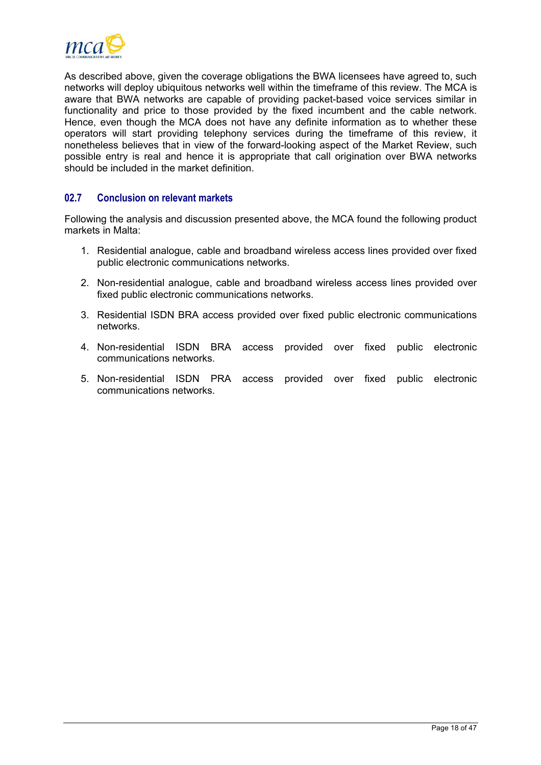<span id="page-20-0"></span>

As described above, given the coverage obligations the BWA licensees have agreed to, such networks will deploy ubiquitous networks well within the timeframe of this review. The MCA is aware that BWA networks are capable of providing packet-based voice services similar in functionality and price to those provided by the fixed incumbent and the cable network. Hence, even though the MCA does not have any definite information as to whether these operators will start providing telephony services during the timeframe of this review, it nonetheless believes that in view of the forward-looking aspect of the Market Review, such possible entry is real and hence it is appropriate that call origination over BWA networks should be included in the market definition.

# **02.7 Conclusion on relevant markets**

Following the analysis and discussion presented above, the MCA found the following product markets in Malta:

- 1. Residential analogue, cable and broadband wireless access lines provided over fixed public electronic communications networks.
- 2. Non-residential analogue, cable and broadband wireless access lines provided over fixed public electronic communications networks.
- 3. Residential ISDN BRA access provided over fixed public electronic communications networks.
- 4. Non-residential ISDN BRA access provided over fixed public electronic communications networks.
- 5. Non-residential ISDN PRA access provided over fixed public electronic communications networks.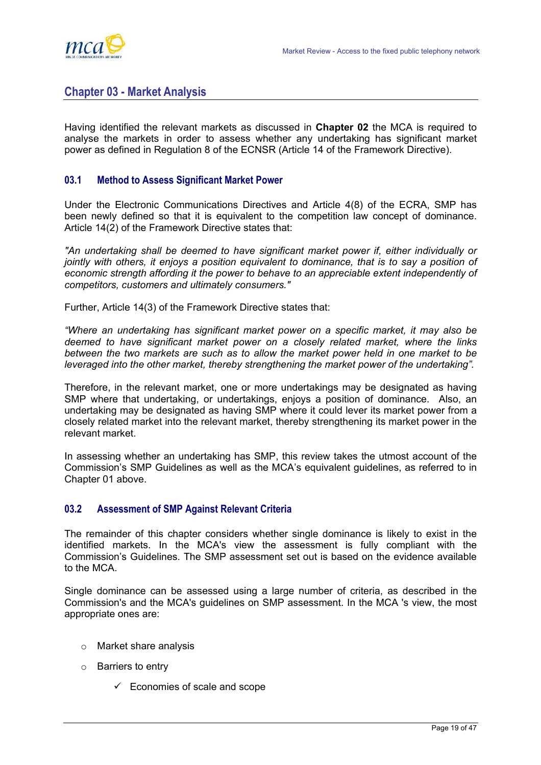<span id="page-21-0"></span>

# **Chapter 03 - Market Analysis**

Having identified the relevant markets as discussed in **Chapter 02** the MCA is required to analyse the markets in order to assess whether any undertaking has significant market power as defined in Regulation 8 of the ECNSR (Article 14 of the Framework Directive).

# **03.1 Method to Assess Significant Market Power**

Under the Electronic Communications Directives and Article 4(8) of the ECRA, SMP has been newly defined so that it is equivalent to the competition law concept of dominance. Article 14(2) of the Framework Directive states that:

*"An undertaking shall be deemed to have significant market power if, either individually or jointly with others, it enjoys a position equivalent to dominance, that is to say a position of economic strength affording it the power to behave to an appreciable extent independently of competitors, customers and ultimately consumers."* 

Further, Article 14(3) of the Framework Directive states that:

*"Where an undertaking has significant market power on a specific market, it may also be deemed to have significant market power on a closely related market, where the links between the two markets are such as to allow the market power held in one market to be leveraged into the other market, thereby strengthening the market power of the undertaking".* 

Therefore, in the relevant market, one or more undertakings may be designated as having SMP where that undertaking, or undertakings, enjoys a position of dominance. Also, an undertaking may be designated as having SMP where it could lever its market power from a closely related market into the relevant market, thereby strengthening its market power in the relevant market.

In assessing whether an undertaking has SMP, this review takes the utmost account of the Commission's SMP Guidelines as well as the MCA's equivalent guidelines, as referred to in Chapter 01 above.

# **03.2 Assessment of SMP Against Relevant Criteria**

The remainder of this chapter considers whether single dominance is likely to exist in the identified markets. In the MCA's view the assessment is fully compliant with the Commission's Guidelines. The SMP assessment set out is based on the evidence available to the MCA.

Single dominance can be assessed using a large number of criteria, as described in the Commission's and the MCA's guidelines on SMP assessment. In the MCA 's view, the most appropriate ones are:

- o Market share analysis
- o Barriers to entry
	- $\checkmark$  Economies of scale and scope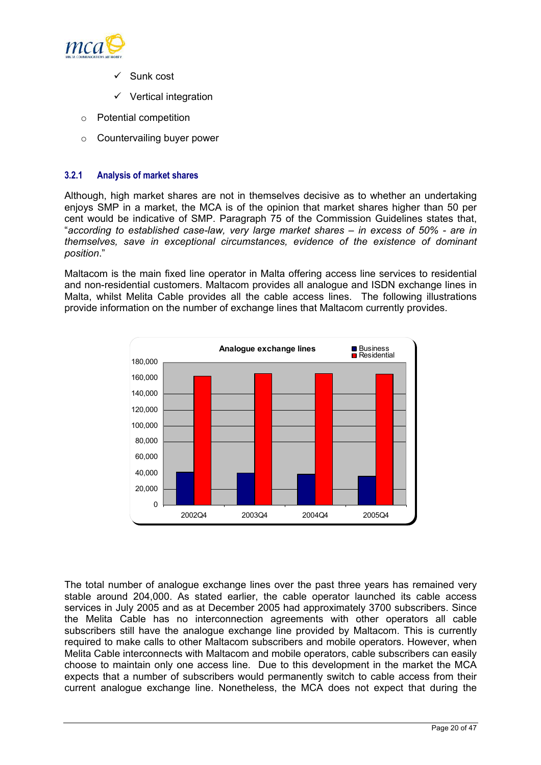

- Sunk cost
- Vertical integration
- o Potential competition
- o Countervailing buyer power

## **3.2.1 Analysis of market shares**

Although, high market shares are not in themselves decisive as to whether an undertaking enjoys SMP in a market, the MCA is of the opinion that market shares higher than 50 per cent would be indicative of SMP. Paragraph 75 of the Commission Guidelines states that, "*according to established case-law, very large market shares – in excess of 50% - are in themselves, save in exceptional circumstances, evidence of the existence of dominant position*."

Maltacom is the main fixed line operator in Malta offering access line services to residential and non-residential customers. Maltacom provides all analogue and ISDN exchange lines in Malta, whilst Melita Cable provides all the cable access lines. The following illustrations provide information on the number of exchange lines that Maltacom currently provides.



The total number of analogue exchange lines over the past three years has remained very stable around 204,000. As stated earlier, the cable operator launched its cable access services in July 2005 and as at December 2005 had approximately 3700 subscribers. Since the Melita Cable has no interconnection agreements with other operators all cable subscribers still have the analogue exchange line provided by Maltacom. This is currently required to make calls to other Maltacom subscribers and mobile operators. However, when Melita Cable interconnects with Maltacom and mobile operators, cable subscribers can easily choose to maintain only one access line. Due to this development in the market the MCA expects that a number of subscribers would permanently switch to cable access from their current analogue exchange line. Nonetheless, the MCA does not expect that during the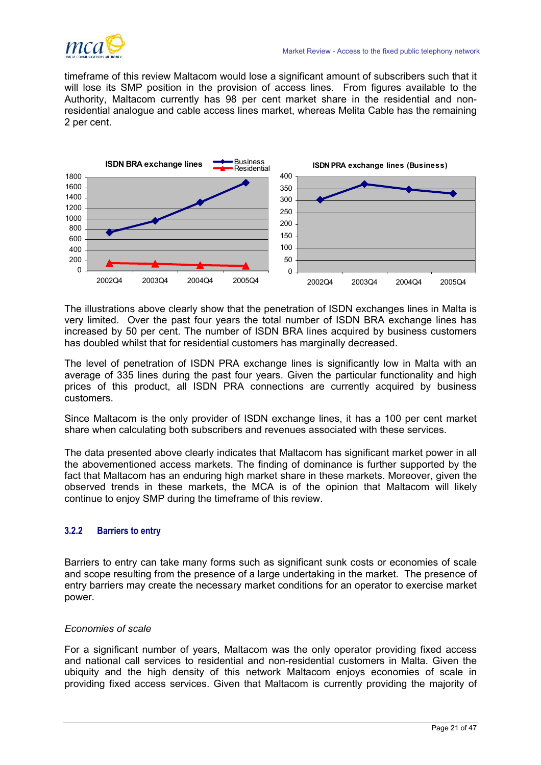

timeframe of this review Maltacom would lose a significant amount of subscribers such that it will lose its SMP position in the provision of access lines. From figures available to the Authority, Maltacom currently has 98 per cent market share in the residential and nonresidential analogue and cable access lines market, whereas Melita Cable has the remaining 2 per cent.



The illustrations above clearly show that the penetration of ISDN exchanges lines in Malta is very limited. Over the past four years the total number of ISDN BRA exchange lines has increased by 50 per cent. The number of ISDN BRA lines acquired by business customers has doubled whilst that for residential customers has marginally decreased.

The level of penetration of ISDN PRA exchange lines is significantly low in Malta with an average of 335 lines during the past four years. Given the particular functionality and high prices of this product, all ISDN PRA connections are currently acquired by business customers.

Since Maltacom is the only provider of ISDN exchange lines, it has a 100 per cent market share when calculating both subscribers and revenues associated with these services.

The data presented above clearly indicates that Maltacom has significant market power in all the abovementioned access markets. The finding of dominance is further supported by the fact that Maltacom has an enduring high market share in these markets. Moreover, given the observed trends in these markets, the MCA is of the opinion that Maltacom will likely continue to enjoy SMP during the timeframe of this review.

# **3.2.2 Barriers to entry**

Barriers to entry can take many forms such as significant sunk costs or economies of scale and scope resulting from the presence of a large undertaking in the market. The presence of entry barriers may create the necessary market conditions for an operator to exercise market power.

#### *Economies of scale*

For a significant number of years, Maltacom was the only operator providing fixed access and national call services to residential and non-residential customers in Malta. Given the ubiquity and the high density of this network Maltacom enjoys economies of scale in providing fixed access services. Given that Maltacom is currently providing the majority of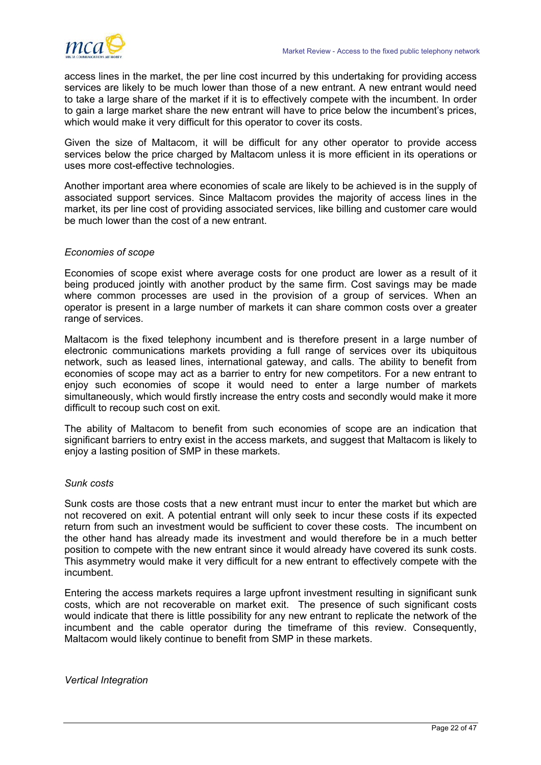

access lines in the market, the per line cost incurred by this undertaking for providing access services are likely to be much lower than those of a new entrant. A new entrant would need to take a large share of the market if it is to effectively compete with the incumbent. In order to gain a large market share the new entrant will have to price below the incumbent's prices, which would make it very difficult for this operator to cover its costs.

Given the size of Maltacom, it will be difficult for any other operator to provide access services below the price charged by Maltacom unless it is more efficient in its operations or uses more cost-effective technologies.

Another important area where economies of scale are likely to be achieved is in the supply of associated support services. Since Maltacom provides the majority of access lines in the market, its per line cost of providing associated services, like billing and customer care would be much lower than the cost of a new entrant.

### *Economies of scope*

Economies of scope exist where average costs for one product are lower as a result of it being produced jointly with another product by the same firm. Cost savings may be made where common processes are used in the provision of a group of services. When an operator is present in a large number of markets it can share common costs over a greater range of services.

Maltacom is the fixed telephony incumbent and is therefore present in a large number of electronic communications markets providing a full range of services over its ubiquitous network, such as leased lines, international gateway, and calls. The ability to benefit from economies of scope may act as a barrier to entry for new competitors. For a new entrant to enjoy such economies of scope it would need to enter a large number of markets simultaneously, which would firstly increase the entry costs and secondly would make it more difficult to recoup such cost on exit.

The ability of Maltacom to benefit from such economies of scope are an indication that significant barriers to entry exist in the access markets, and suggest that Maltacom is likely to enjoy a lasting position of SMP in these markets.

## *Sunk costs*

Sunk costs are those costs that a new entrant must incur to enter the market but which are not recovered on exit. A potential entrant will only seek to incur these costs if its expected return from such an investment would be sufficient to cover these costs. The incumbent on the other hand has already made its investment and would therefore be in a much better position to compete with the new entrant since it would already have covered its sunk costs. This asymmetry would make it very difficult for a new entrant to effectively compete with the incumbent.

Entering the access markets requires a large upfront investment resulting in significant sunk costs, which are not recoverable on market exit. The presence of such significant costs would indicate that there is little possibility for any new entrant to replicate the network of the incumbent and the cable operator during the timeframe of this review. Consequently, Maltacom would likely continue to benefit from SMP in these markets.

#### *Vertical Integration*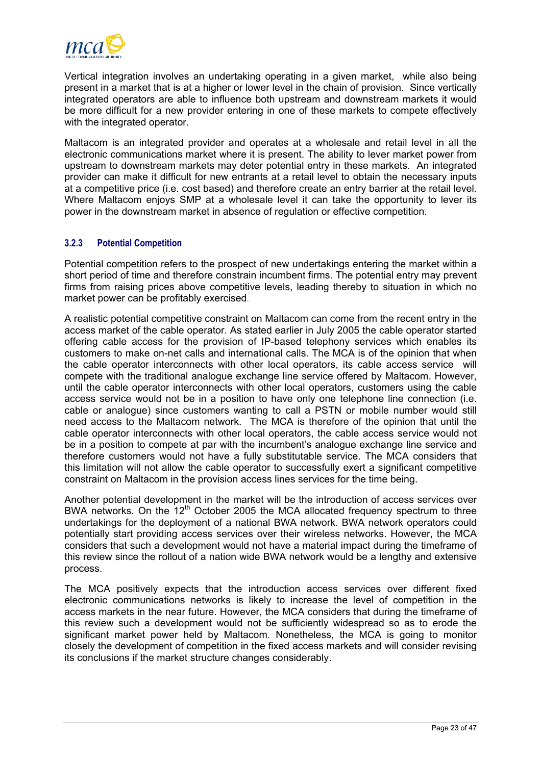

Vertical integration involves an undertaking operating in a given market, while also being present in a market that is at a higher or lower level in the chain of provision. Since vertically integrated operators are able to influence both upstream and downstream markets it would be more difficult for a new provider entering in one of these markets to compete effectively with the integrated operator.

Maltacom is an integrated provider and operates at a wholesale and retail level in all the electronic communications market where it is present. The ability to lever market power from upstream to downstream markets may deter potential entry in these markets. An integrated provider can make it difficult for new entrants at a retail level to obtain the necessary inputs at a competitive price (i.e. cost based) and therefore create an entry barrier at the retail level. Where Maltacom enjoys SMP at a wholesale level it can take the opportunity to lever its power in the downstream market in absence of regulation or effective competition.

# **3.2.3 Potential Competition**

Potential competition refers to the prospect of new undertakings entering the market within a short period of time and therefore constrain incumbent firms. The potential entry may prevent firms from raising prices above competitive levels, leading thereby to situation in which no market power can be profitably exercised.

A realistic potential competitive constraint on Maltacom can come from the recent entry in the access market of the cable operator. As stated earlier in July 2005 the cable operator started offering cable access for the provision of IP-based telephony services which enables its customers to make on-net calls and international calls. The MCA is of the opinion that when the cable operator interconnects with other local operators, its cable access service will compete with the traditional analogue exchange line service offered by Maltacom. However, until the cable operator interconnects with other local operators, customers using the cable access service would not be in a position to have only one telephone line connection (i.e. cable or analogue) since customers wanting to call a PSTN or mobile number would still need access to the Maltacom network. The MCA is therefore of the opinion that until the cable operator interconnects with other local operators, the cable access service would not be in a position to compete at par with the incumbent's analogue exchange line service and therefore customers would not have a fully substitutable service. The MCA considers that this limitation will not allow the cable operator to successfully exert a significant competitive constraint on Maltacom in the provision access lines services for the time being.

Another potential development in the market will be the introduction of access services over BWA networks. On the  $12<sup>th</sup>$  October 2005 the MCA allocated frequency spectrum to three undertakings for the deployment of a national BWA network. BWA network operators could potentially start providing access services over their wireless networks. However, the MCA considers that such a development would not have a material impact during the timeframe of this review since the rollout of a nation wide BWA network would be a lengthy and extensive process.

The MCA positively expects that the introduction access services over different fixed electronic communications networks is likely to increase the level of competition in the access markets in the near future. However, the MCA considers that during the timeframe of this review such a development would not be sufficiently widespread so as to erode the significant market power held by Maltacom. Nonetheless, the MCA is going to monitor closely the development of competition in the fixed access markets and will consider revising its conclusions if the market structure changes considerably.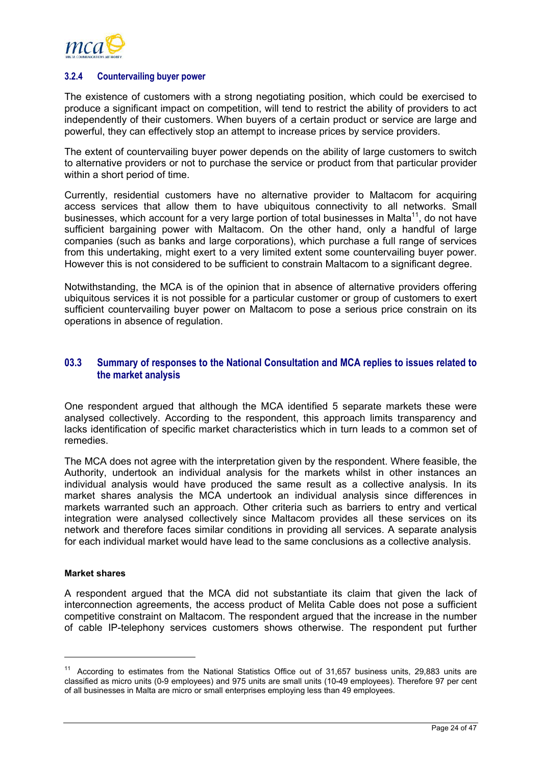<span id="page-26-0"></span>

#### **3.2.4 Countervailing buyer power**

The existence of customers with a strong negotiating position, which could be exercised to produce a significant impact on competition, will tend to restrict the ability of providers to act independently of their customers. When buyers of a certain product or service are large and powerful, they can effectively stop an attempt to increase prices by service providers.

The extent of countervailing buyer power depends on the ability of large customers to switch to alternative providers or not to purchase the service or product from that particular provider within a short period of time.

Currently, residential customers have no alternative provider to Maltacom for acquiring access services that allow them to have ubiquitous connectivity to all networks. Small businesses, which account for a very large portion of total businesses in Malta<sup>11</sup>, do not have sufficient bargaining power with Maltacom. On the other hand, only a handful of large companies (such as banks and large corporations), which purchase a full range of services from this undertaking, might exert to a very limited extent some countervailing buyer power. However this is not considered to be sufficient to constrain Maltacom to a significant degree.

Notwithstanding, the MCA is of the opinion that in absence of alternative providers offering ubiquitous services it is not possible for a particular customer or group of customers to exert sufficient countervailing buyer power on Maltacom to pose a serious price constrain on its operations in absence of regulation.

# **03.3 Summary of responses to the National Consultation and MCA replies to issues related to the market analysis**

One respondent argued that although the MCA identified 5 separate markets these were analysed collectively. According to the respondent, this approach limits transparency and lacks identification of specific market characteristics which in turn leads to a common set of remedies.

The MCA does not agree with the interpretation given by the respondent. Where feasible, the Authority, undertook an individual analysis for the markets whilst in other instances an individual analysis would have produced the same result as a collective analysis. In its market shares analysis the MCA undertook an individual analysis since differences in markets warranted such an approach. Other criteria such as barriers to entry and vertical integration were analysed collectively since Maltacom provides all these services on its network and therefore faces similar conditions in providing all services. A separate analysis for each individual market would have lead to the same conclusions as a collective analysis.

### **Market shares**

l

A respondent argued that the MCA did not substantiate its claim that given the lack of interconnection agreements, the access product of Melita Cable does not pose a sufficient competitive constraint on Maltacom. The respondent argued that the increase in the number of cable IP-telephony services customers shows otherwise. The respondent put further

<span id="page-26-1"></span><sup>&</sup>lt;sup>11</sup> According to estimates from the National Statistics Office out of 31,657 business units, 29,883 units are classified as micro units (0-9 employees) and 975 units are small units (10-49 employees). Therefore 97 per cent of all businesses in Malta are micro or small enterprises employing less than 49 employees.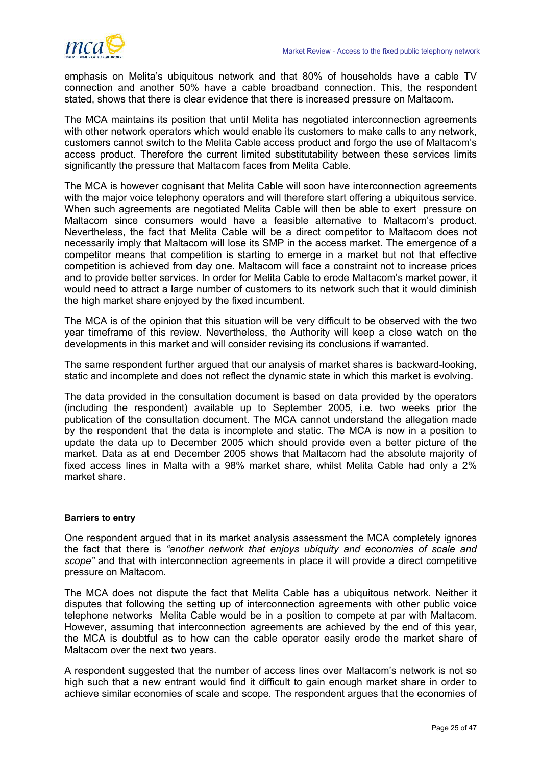

emphasis on Melita's ubiquitous network and that 80% of households have a cable TV connection and another 50% have a cable broadband connection. This, the respondent stated, shows that there is clear evidence that there is increased pressure on Maltacom.

The MCA maintains its position that until Melita has negotiated interconnection agreements with other network operators which would enable its customers to make calls to any network, customers cannot switch to the Melita Cable access product and forgo the use of Maltacom's access product. Therefore the current limited substitutability between these services limits significantly the pressure that Maltacom faces from Melita Cable.

The MCA is however cognisant that Melita Cable will soon have interconnection agreements with the major voice telephony operators and will therefore start offering a ubiquitous service. When such agreements are negotiated Melita Cable will then be able to exert pressure on Maltacom since consumers would have a feasible alternative to Maltacom's product. Nevertheless, the fact that Melita Cable will be a direct competitor to Maltacom does not necessarily imply that Maltacom will lose its SMP in the access market. The emergence of a competitor means that competition is starting to emerge in a market but not that effective competition is achieved from day one. Maltacom will face a constraint not to increase prices and to provide better services. In order for Melita Cable to erode Maltacom's market power, it would need to attract a large number of customers to its network such that it would diminish the high market share enjoyed by the fixed incumbent.

The MCA is of the opinion that this situation will be very difficult to be observed with the two year timeframe of this review. Nevertheless, the Authority will keep a close watch on the developments in this market and will consider revising its conclusions if warranted.

The same respondent further argued that our analysis of market shares is backward-looking, static and incomplete and does not reflect the dynamic state in which this market is evolving.

The data provided in the consultation document is based on data provided by the operators (including the respondent) available up to September 2005, i.e. two weeks prior the publication of the consultation document. The MCA cannot understand the allegation made by the respondent that the data is incomplete and static. The MCA is now in a position to update the data up to December 2005 which should provide even a better picture of the market. Data as at end December 2005 shows that Maltacom had the absolute majority of fixed access lines in Malta with a 98% market share, whilst Melita Cable had only a 2% market share.

#### **Barriers to entry**

One respondent argued that in its market analysis assessment the MCA completely ignores the fact that there is *"another network that enjoys ubiquity and economies of scale and scope"* and that with interconnection agreements in place it will provide a direct competitive pressure on Maltacom.

The MCA does not dispute the fact that Melita Cable has a ubiquitous network. Neither it disputes that following the setting up of interconnection agreements with other public voice telephone networks Melita Cable would be in a position to compete at par with Maltacom. However, assuming that interconnection agreements are achieved by the end of this year, the MCA is doubtful as to how can the cable operator easily erode the market share of Maltacom over the next two years.

A respondent suggested that the number of access lines over Maltacom's network is not so high such that a new entrant would find it difficult to gain enough market share in order to achieve similar economies of scale and scope. The respondent argues that the economies of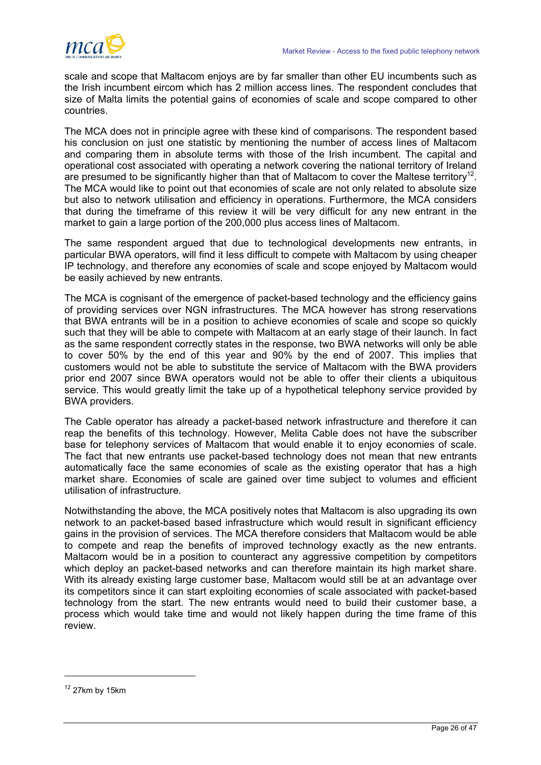

scale and scope that Maltacom enjoys are by far smaller than other EU incumbents such as the Irish incumbent eircom which has 2 million access lines. The respondent concludes that size of Malta limits the potential gains of economies of scale and scope compared to other countries.

The MCA does not in principle agree with these kind of comparisons. The respondent based his conclusion on just one statistic by mentioning the number of access lines of Maltacom and comparing them in absolute terms with those of the Irish incumbent. The capital and operational cost associated with operating a network covering the national territory of Ireland are presumed to be significantly higher than that of Maltacom to cover the Maltese territory<sup>12</sup>. The MCA would like to point out that economies of scale are not only related to absolute size but also to network utilisation and efficiency in operations. Furthermore, the MCA considers that during the timeframe of this review it will be very difficult for any new entrant in the market to gain a large portion of the 200,000 plus access lines of Maltacom.

The same respondent argued that due to technological developments new entrants, in particular BWA operators, will find it less difficult to compete with Maltacom by using cheaper IP technology, and therefore any economies of scale and scope enjoyed by Maltacom would be easily achieved by new entrants.

The MCA is cognisant of the emergence of packet-based technology and the efficiency gains of providing services over NGN infrastructures. The MCA however has strong reservations that BWA entrants will be in a position to achieve economies of scale and scope so quickly such that they will be able to compete with Maltacom at an early stage of their launch. In fact as the same respondent correctly states in the response, two BWA networks will only be able to cover 50% by the end of this year and 90% by the end of 2007. This implies that customers would not be able to substitute the service of Maltacom with the BWA providers prior end 2007 since BWA operators would not be able to offer their clients a ubiquitous service. This would greatly limit the take up of a hypothetical telephony service provided by BWA providers.

The Cable operator has already a packet-based network infrastructure and therefore it can reap the benefits of this technology. However, Melita Cable does not have the subscriber base for telephony services of Maltacom that would enable it to enjoy economies of scale. The fact that new entrants use packet-based technology does not mean that new entrants automatically face the same economies of scale as the existing operator that has a high market share. Economies of scale are gained over time subject to volumes and efficient utilisation of infrastructure.

Notwithstanding the above, the MCA positively notes that Maltacom is also upgrading its own network to an packet-based based infrastructure which would result in significant efficiency gains in the provision of services. The MCA therefore considers that Maltacom would be able to compete and reap the benefits of improved technology exactly as the new entrants. Maltacom would be in a position to counteract any aggressive competition by competitors which deploy an packet-based networks and can therefore maintain its high market share. With its already existing large customer base, Maltacom would still be at an advantage over its competitors since it can start exploiting economies of scale associated with packet-based technology from the start. The new entrants would need to build their customer base, a process which would take time and would not likely happen during the time frame of this review.

l

<span id="page-28-0"></span> $12$  27km by 15km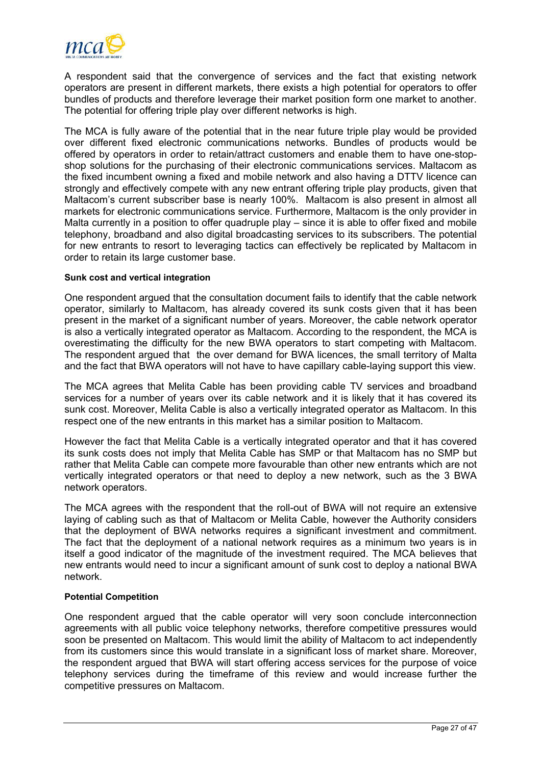

A respondent said that the convergence of services and the fact that existing network operators are present in different markets, there exists a high potential for operators to offer bundles of products and therefore leverage their market position form one market to another. The potential for offering triple play over different networks is high.

The MCA is fully aware of the potential that in the near future triple play would be provided over different fixed electronic communications networks. Bundles of products would be offered by operators in order to retain/attract customers and enable them to have one-stopshop solutions for the purchasing of their electronic communications services. Maltacom as the fixed incumbent owning a fixed and mobile network and also having a DTTV licence can strongly and effectively compete with any new entrant offering triple play products, given that Maltacom's current subscriber base is nearly 100%. Maltacom is also present in almost all markets for electronic communications service. Furthermore, Maltacom is the only provider in Malta currently in a position to offer quadruple play – since it is able to offer fixed and mobile telephony, broadband and also digital broadcasting services to its subscribers. The potential for new entrants to resort to leveraging tactics can effectively be replicated by Maltacom in order to retain its large customer base.

#### **Sunk cost and vertical integration**

One respondent argued that the consultation document fails to identify that the cable network operator, similarly to Maltacom, has already covered its sunk costs given that it has been present in the market of a significant number of years. Moreover, the cable network operator is also a vertically integrated operator as Maltacom. According to the respondent, the MCA is overestimating the difficulty for the new BWA operators to start competing with Maltacom. The respondent argued that the over demand for BWA licences, the small territory of Malta and the fact that BWA operators will not have to have capillary cable-laying support this view.

The MCA agrees that Melita Cable has been providing cable TV services and broadband services for a number of years over its cable network and it is likely that it has covered its sunk cost. Moreover, Melita Cable is also a vertically integrated operator as Maltacom. In this respect one of the new entrants in this market has a similar position to Maltacom.

However the fact that Melita Cable is a vertically integrated operator and that it has covered its sunk costs does not imply that Melita Cable has SMP or that Maltacom has no SMP but rather that Melita Cable can compete more favourable than other new entrants which are not vertically integrated operators or that need to deploy a new network, such as the 3 BWA network operators.

The MCA agrees with the respondent that the roll-out of BWA will not require an extensive laying of cabling such as that of Maltacom or Melita Cable, however the Authority considers that the deployment of BWA networks requires a significant investment and commitment. The fact that the deployment of a national network requires as a minimum two years is in itself a good indicator of the magnitude of the investment required. The MCA believes that new entrants would need to incur a significant amount of sunk cost to deploy a national BWA network.

#### **Potential Competition**

One respondent argued that the cable operator will very soon conclude interconnection agreements with all public voice telephony networks, therefore competitive pressures would soon be presented on Maltacom. This would limit the ability of Maltacom to act independently from its customers since this would translate in a significant loss of market share. Moreover, the respondent argued that BWA will start offering access services for the purpose of voice telephony services during the timeframe of this review and would increase further the competitive pressures on Maltacom.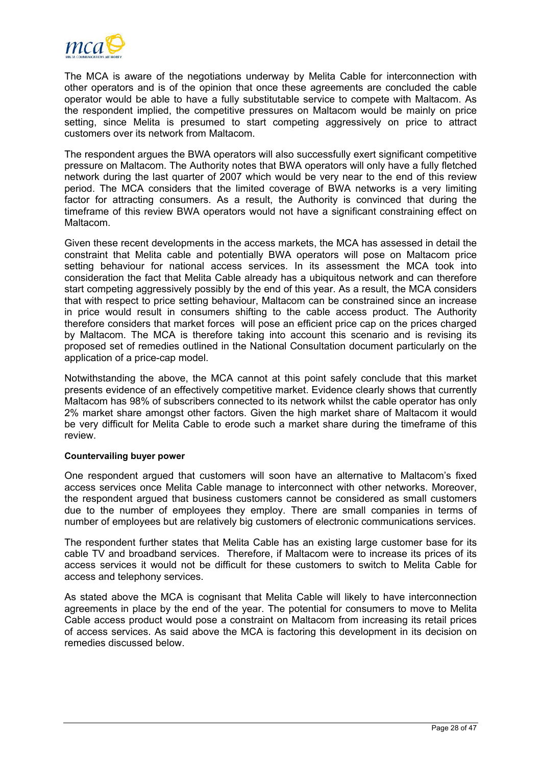

The MCA is aware of the negotiations underway by Melita Cable for interconnection with other operators and is of the opinion that once these agreements are concluded the cable operator would be able to have a fully substitutable service to compete with Maltacom. As the respondent implied, the competitive pressures on Maltacom would be mainly on price setting, since Melita is presumed to start competing aggressively on price to attract customers over its network from Maltacom.

The respondent argues the BWA operators will also successfully exert significant competitive pressure on Maltacom. The Authority notes that BWA operators will only have a fully fletched network during the last quarter of 2007 which would be very near to the end of this review period. The MCA considers that the limited coverage of BWA networks is a very limiting factor for attracting consumers. As a result, the Authority is convinced that during the timeframe of this review BWA operators would not have a significant constraining effect on Maltacom.

Given these recent developments in the access markets, the MCA has assessed in detail the constraint that Melita cable and potentially BWA operators will pose on Maltacom price setting behaviour for national access services. In its assessment the MCA took into consideration the fact that Melita Cable already has a ubiquitous network and can therefore start competing aggressively possibly by the end of this year. As a result, the MCA considers that with respect to price setting behaviour, Maltacom can be constrained since an increase in price would result in consumers shifting to the cable access product. The Authority therefore considers that market forces will pose an efficient price cap on the prices charged by Maltacom. The MCA is therefore taking into account this scenario and is revising its proposed set of remedies outlined in the National Consultation document particularly on the application of a price-cap model.

Notwithstanding the above, the MCA cannot at this point safely conclude that this market presents evidence of an effectively competitive market. Evidence clearly shows that currently Maltacom has 98% of subscribers connected to its network whilst the cable operator has only 2% market share amongst other factors. Given the high market share of Maltacom it would be very difficult for Melita Cable to erode such a market share during the timeframe of this review.

#### **Countervailing buyer power**

One respondent argued that customers will soon have an alternative to Maltacom's fixed access services once Melita Cable manage to interconnect with other networks. Moreover, the respondent argued that business customers cannot be considered as small customers due to the number of employees they employ. There are small companies in terms of number of employees but are relatively big customers of electronic communications services.

The respondent further states that Melita Cable has an existing large customer base for its cable TV and broadband services. Therefore, if Maltacom were to increase its prices of its access services it would not be difficult for these customers to switch to Melita Cable for access and telephony services.

As stated above the MCA is cognisant that Melita Cable will likely to have interconnection agreements in place by the end of the year. The potential for consumers to move to Melita Cable access product would pose a constraint on Maltacom from increasing its retail prices of access services. As said above the MCA is factoring this development in its decision on remedies discussed below.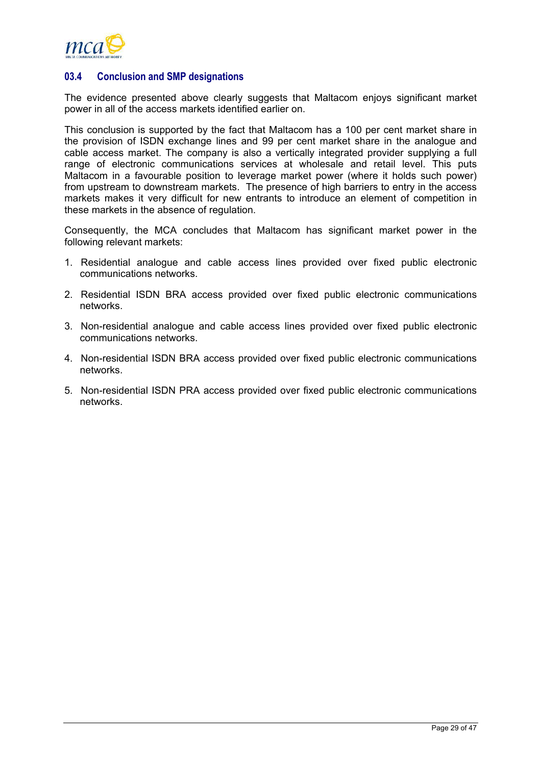<span id="page-31-0"></span>

# **03.4 Conclusion and SMP designations**

The evidence presented above clearly suggests that Maltacom enjoys significant market power in all of the access markets identified earlier on.

This conclusion is supported by the fact that Maltacom has a 100 per cent market share in the provision of ISDN exchange lines and 99 per cent market share in the analogue and cable access market. The company is also a vertically integrated provider supplying a full range of electronic communications services at wholesale and retail level. This puts Maltacom in a favourable position to leverage market power (where it holds such power) from upstream to downstream markets. The presence of high barriers to entry in the access markets makes it very difficult for new entrants to introduce an element of competition in these markets in the absence of regulation.

Consequently, the MCA concludes that Maltacom has significant market power in the following relevant markets:

- 1. Residential analogue and cable access lines provided over fixed public electronic communications networks.
- 2. Residential ISDN BRA access provided over fixed public electronic communications networks.
- 3. Non-residential analogue and cable access lines provided over fixed public electronic communications networks.
- 4. Non-residential ISDN BRA access provided over fixed public electronic communications networks.
- 5. Non-residential ISDN PRA access provided over fixed public electronic communications networks.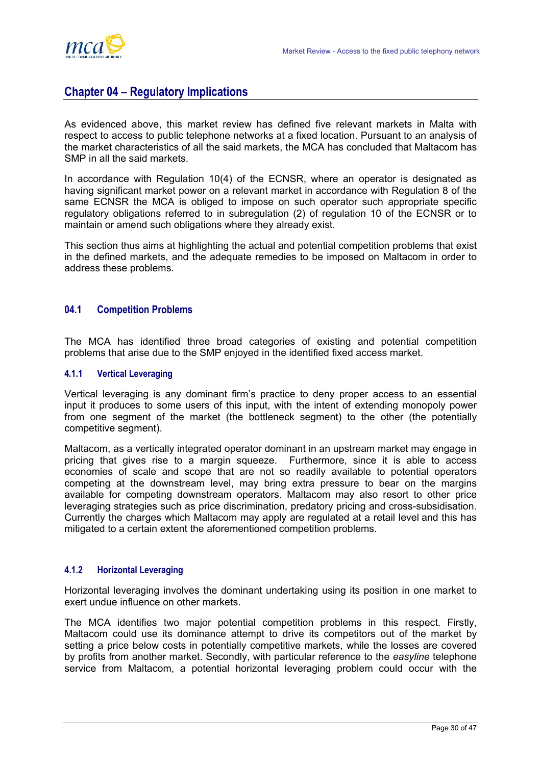<span id="page-32-0"></span>

# **Chapter 04 – Regulatory Implications**

As evidenced above, this market review has defined five relevant markets in Malta with respect to access to public telephone networks at a fixed location. Pursuant to an analysis of the market characteristics of all the said markets, the MCA has concluded that Maltacom has SMP in all the said markets.

In accordance with Regulation 10(4) of the ECNSR, where an operator is designated as having significant market power on a relevant market in accordance with Regulation 8 of the same ECNSR the MCA is obliged to impose on such operator such appropriate specific regulatory obligations referred to in subregulation (2) of regulation 10 of the ECNSR or to maintain or amend such obligations where they already exist.

This section thus aims at highlighting the actual and potential competition problems that exist in the defined markets, and the adequate remedies to be imposed on Maltacom in order to address these problems.

# **04.1 Competition Problems**

The MCA has identified three broad categories of existing and potential competition problems that arise due to the SMP enjoyed in the identified fixed access market.

# **4.1.1 Vertical Leveraging**

Vertical leveraging is any dominant firm's practice to deny proper access to an essential input it produces to some users of this input, with the intent of extending monopoly power from one segment of the market (the bottleneck segment) to the other (the potentially competitive segment).

Maltacom, as a vertically integrated operator dominant in an upstream market may engage in pricing that gives rise to a margin squeeze. Furthermore, since it is able to access economies of scale and scope that are not so readily available to potential operators competing at the downstream level, may bring extra pressure to bear on the margins available for competing downstream operators. Maltacom may also resort to other price leveraging strategies such as price discrimination, predatory pricing and cross-subsidisation. Currently the charges which Maltacom may apply are regulated at a retail level and this has mitigated to a certain extent the aforementioned competition problems.

# **4.1.2 Horizontal Leveraging**

Horizontal leveraging involves the dominant undertaking using its position in one market to exert undue influence on other markets.

The MCA identifies two major potential competition problems in this respect. Firstly, Maltacom could use its dominance attempt to drive its competitors out of the market by setting a price below costs in potentially competitive markets, while the losses are covered by profits from another market. Secondly, with particular reference to the *easyline* telephone service from Maltacom, a potential horizontal leveraging problem could occur with the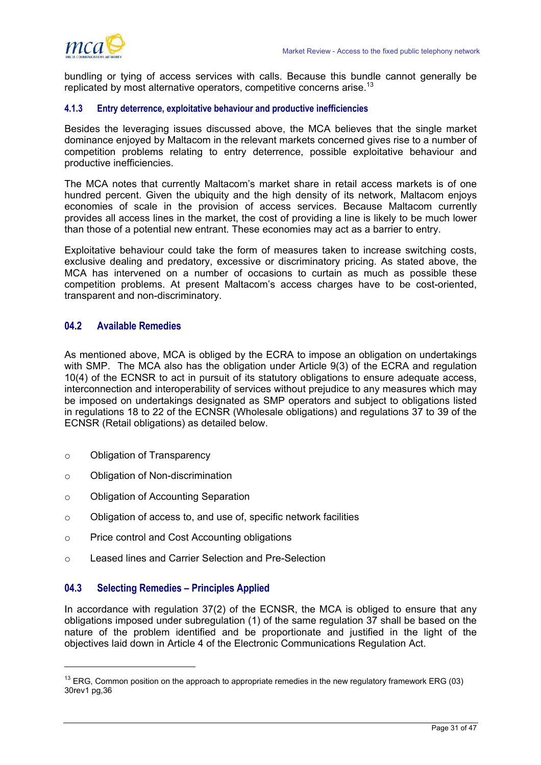<span id="page-33-0"></span>

bundling or tying of access services with calls. Because this bundle cannot generally be replicated by most alternative operators, competitive concerns arise[.](#page-33-1)<sup>13</sup>

# **4.1.3 Entry deterrence, exploitative behaviour and productive inefficiencies**

Besides the leveraging issues discussed above, the MCA believes that the single market dominance enjoyed by Maltacom in the relevant markets concerned gives rise to a number of competition problems relating to entry deterrence, possible exploitative behaviour and productive inefficiencies.

The MCA notes that currently Maltacom's market share in retail access markets is of one hundred percent. Given the ubiquity and the high density of its network, Maltacom enjoys economies of scale in the provision of access services. Because Maltacom currently provides all access lines in the market, the cost of providing a line is likely to be much lower than those of a potential new entrant. These economies may act as a barrier to entry.

Exploitative behaviour could take the form of measures taken to increase switching costs, exclusive dealing and predatory, excessive or discriminatory pricing. As stated above, the MCA has intervened on a number of occasions to curtain as much as possible these competition problems. At present Maltacom's access charges have to be cost-oriented, transparent and non-discriminatory.

# **04.2 Available Remedies**

As mentioned above, MCA is obliged by the ECRA to impose an obligation on undertakings with SMP. The MCA also has the obligation under Article 9(3) of the ECRA and regulation 10(4) of the ECNSR to act in pursuit of its statutory obligations to ensure adequate access, interconnection and interoperability of services without prejudice to any measures which may be imposed on undertakings designated as SMP operators and subject to obligations listed in regulations 18 to 22 of the ECNSR (Wholesale obligations) and regulations 37 to 39 of the ECNSR (Retail obligations) as detailed below.

o Obligation of Transparency

l

- o Obligation of Non-discrimination
- o Obligation of Accounting Separation
- $\circ$  Obligation of access to, and use of, specific network facilities
- o Price control and Cost Accounting obligations
- o Leased lines and Carrier Selection and Pre-Selection

# **04.3 Selecting Remedies – Principles Applied**

In accordance with regulation 37(2) of the ECNSR, the MCA is obliged to ensure that any obligations imposed under subregulation (1) of the same regulation 37 shall be based on the nature of the problem identified and be proportionate and justified in the light of the objectives laid down in Article 4 of the Electronic Communications Regulation Act.

<span id="page-33-1"></span> $13$  ERG. Common position on the approach to appropriate remedies in the new regulatory framework ERG (03) 30rev1 pg,36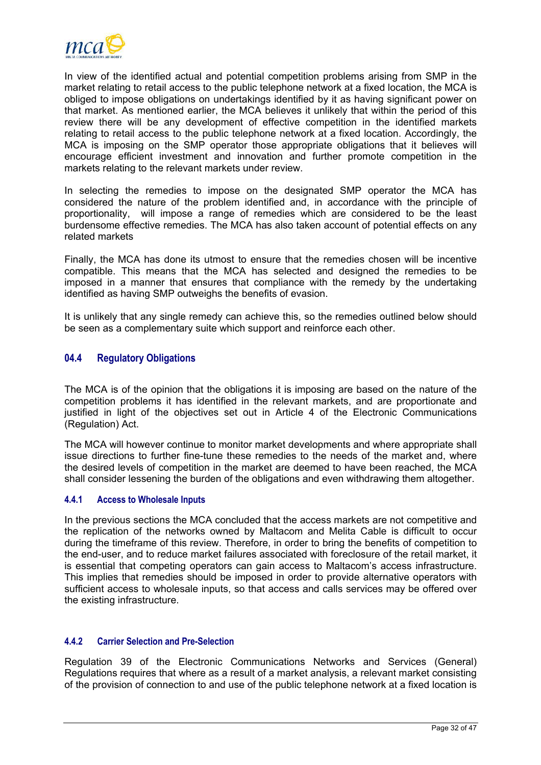<span id="page-34-0"></span>

In view of the identified actual and potential competition problems arising from SMP in the market relating to retail access to the public telephone network at a fixed location, the MCA is obliged to impose obligations on undertakings identified by it as having significant power on that market. As mentioned earlier, the MCA believes it unlikely that within the period of this review there will be any development of effective competition in the identified markets relating to retail access to the public telephone network at a fixed location. Accordingly, the MCA is imposing on the SMP operator those appropriate obligations that it believes will encourage efficient investment and innovation and further promote competition in the markets relating to the relevant markets under review.

In selecting the remedies to impose on the designated SMP operator the MCA has considered the nature of the problem identified and, in accordance with the principle of proportionality, will impose a range of remedies which are considered to be the least burdensome effective remedies. The MCA has also taken account of potential effects on any related markets

Finally, the MCA has done its utmost to ensure that the remedies chosen will be incentive compatible. This means that the MCA has selected and designed the remedies to be imposed in a manner that ensures that compliance with the remedy by the undertaking identified as having SMP outweighs the benefits of evasion.

It is unlikely that any single remedy can achieve this, so the remedies outlined below should be seen as a complementary suite which support and reinforce each other.

# **04.4 Regulatory Obligations**

The MCA is of the opinion that the obligations it is imposing are based on the nature of the competition problems it has identified in the relevant markets, and are proportionate and justified in light of the objectives set out in Article 4 of the Electronic Communications (Regulation) Act.

The MCA will however continue to monitor market developments and where appropriate shall issue directions to further fine-tune these remedies to the needs of the market and, where the desired levels of competition in the market are deemed to have been reached, the MCA shall consider lessening the burden of the obligations and even withdrawing them altogether.

#### **4.4.1 Access to Wholesale Inputs**

In the previous sections the MCA concluded that the access markets are not competitive and the replication of the networks owned by Maltacom and Melita Cable is difficult to occur during the timeframe of this review. Therefore, in order to bring the benefits of competition to the end-user, and to reduce market failures associated with foreclosure of the retail market, it is essential that competing operators can gain access to Maltacom's access infrastructure. This implies that remedies should be imposed in order to provide alternative operators with sufficient access to wholesale inputs, so that access and calls services may be offered over the existing infrastructure.

#### **4.4.2 Carrier Selection and Pre-Selection**

Regulation 39 of the Electronic Communications Networks and Services (General) Regulations requires that where as a result of a market analysis, a relevant market consisting of the provision of connection to and use of the public telephone network at a fixed location is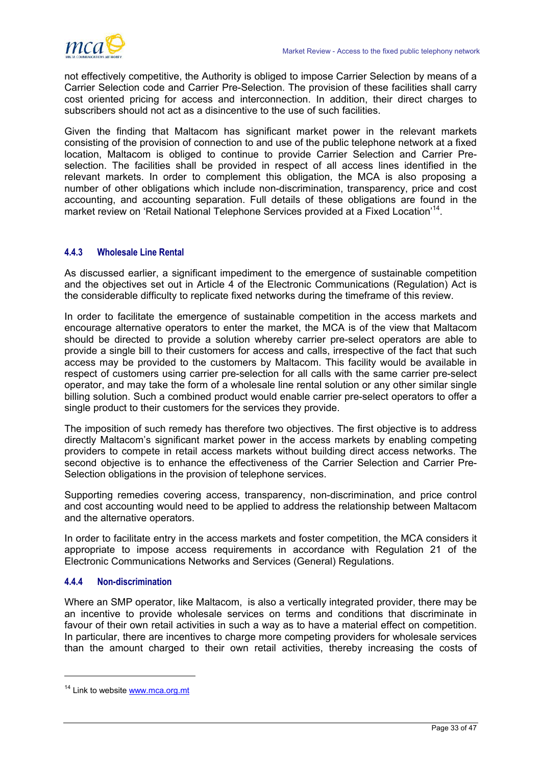

not effectively competitive, the Authority is obliged to impose Carrier Selection by means of a Carrier Selection code and Carrier Pre-Selection. The provision of these facilities shall carry cost oriented pricing for access and interconnection. In addition, their direct charges to subscribers should not act as a disincentive to the use of such facilities.

Given the finding that Maltacom has significant market power in the relevant markets consisting of the provision of connection to and use of the public telephone network at a fixed location, Maltacom is obliged to continue to provide Carrier Selection and Carrier Preselection. The facilities shall be provided in respect of all access lines identified in the relevant markets. In order to complement this obligation, the MCA is also proposing a number of other obligations which include non-discrimination, transparency, price and cost accounting, and accounting separation. Full details of these obligations are found in the market review on 'Retail National Telephone Services provided at a Fixed Location'[14.](#page-35-0)

#### **4.4.3 Wholesale Line Rental**

As discussed earlier, a significant impediment to the emergence of sustainable competition and the objectives set out in Article 4 of the Electronic Communications (Regulation) Act is the considerable difficulty to replicate fixed networks during the timeframe of this review.

In order to facilitate the emergence of sustainable competition in the access markets and encourage alternative operators to enter the market, the MCA is of the view that Maltacom should be directed to provide a solution whereby carrier pre-select operators are able to provide a single bill to their customers for access and calls, irrespective of the fact that such access may be provided to the customers by Maltacom. This facility would be available in respect of customers using carrier pre-selection for all calls with the same carrier pre-select operator, and may take the form of a wholesale line rental solution or any other similar single billing solution. Such a combined product would enable carrier pre-select operators to offer a single product to their customers for the services they provide.

The imposition of such remedy has therefore two objectives. The first objective is to address directly Maltacom's significant market power in the access markets by enabling competing providers to compete in retail access markets without building direct access networks. The second objective is to enhance the effectiveness of the Carrier Selection and Carrier Pre-Selection obligations in the provision of telephone services.

Supporting remedies covering access, transparency, non-discrimination, and price control and cost accounting would need to be applied to address the relationship between Maltacom and the alternative operators.

In order to facilitate entry in the access markets and foster competition, the MCA considers it appropriate to impose access requirements in accordance with Regulation 21 of the Electronic Communications Networks and Services (General) Regulations.

#### **4.4.4 Non-discrimination**

Where an SMP operator, like Maltacom, is also a vertically integrated provider, there may be an incentive to provide wholesale services on terms and conditions that discriminate in favour of their own retail activities in such a way as to have a material effect on competition. In particular, there are incentives to charge more competing providers for wholesale services than the amount charged to their own retail activities, thereby increasing the costs of

l

<span id="page-35-0"></span><sup>&</sup>lt;sup>14</sup> Link to website **[www.mca.org.mt](http://www.mca.org.mt/)**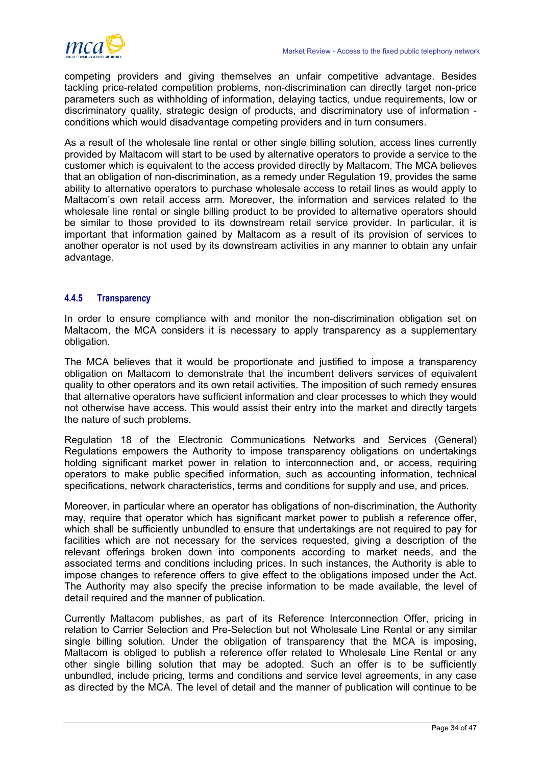competing providers and giving themselves an unfair competitive advantage. Besides tackling price-related competition problems, non-discrimination can directly target non-price parameters such as withholding of information, delaying tactics, undue requirements, low or discriminatory quality, strategic design of products, and discriminatory use of information conditions which would disadvantage competing providers and in turn consumers.

As a result of the wholesale line rental or other single billing solution, access lines currently provided by Maltacom will start to be used by alternative operators to provide a service to the customer which is equivalent to the access provided directly by Maltacom. The MCA believes that an obligation of non-discrimination, as a remedy under Regulation 19, provides the same ability to alternative operators to purchase wholesale access to retail lines as would apply to Maltacom's own retail access arm. Moreover, the information and services related to the wholesale line rental or single billing product to be provided to alternative operators should be similar to those provided to its downstream retail service provider. In particular, it is important that information gained by Maltacom as a result of its provision of services to another operator is not used by its downstream activities in any manner to obtain any unfair advantage.

### **4.4.5 Transparency**

In order to ensure compliance with and monitor the non-discrimination obligation set on Maltacom, the MCA considers it is necessary to apply transparency as a supplementary obligation.

The MCA believes that it would be proportionate and justified to impose a transparency obligation on Maltacom to demonstrate that the incumbent delivers services of equivalent quality to other operators and its own retail activities. The imposition of such remedy ensures that alternative operators have sufficient information and clear processes to which they would not otherwise have access. This would assist their entry into the market and directly targets the nature of such problems.

Regulation 18 of the Electronic Communications Networks and Services (General) Regulations empowers the Authority to impose transparency obligations on undertakings holding significant market power in relation to interconnection and, or access, requiring operators to make public specified information, such as accounting information, technical specifications, network characteristics, terms and conditions for supply and use, and prices.

Moreover, in particular where an operator has obligations of non-discrimination, the Authority may, require that operator which has significant market power to publish a reference offer, which shall be sufficiently unbundled to ensure that undertakings are not required to pay for facilities which are not necessary for the services requested, giving a description of the relevant offerings broken down into components according to market needs, and the associated terms and conditions including prices. In such instances, the Authority is able to impose changes to reference offers to give effect to the obligations imposed under the Act. The Authority may also specify the precise information to be made available, the level of detail required and the manner of publication.

Currently Maltacom publishes, as part of its Reference Interconnection Offer, pricing in relation to Carrier Selection and Pre-Selection but not Wholesale Line Rental or any similar single billing solution. Under the obligation of transparency that the MCA is imposing, Maltacom is obliged to publish a reference offer related to Wholesale Line Rental or any other single billing solution that may be adopted. Such an offer is to be sufficiently unbundled, include pricing, terms and conditions and service level agreements, in any case as directed by the MCA. The level of detail and the manner of publication will continue to be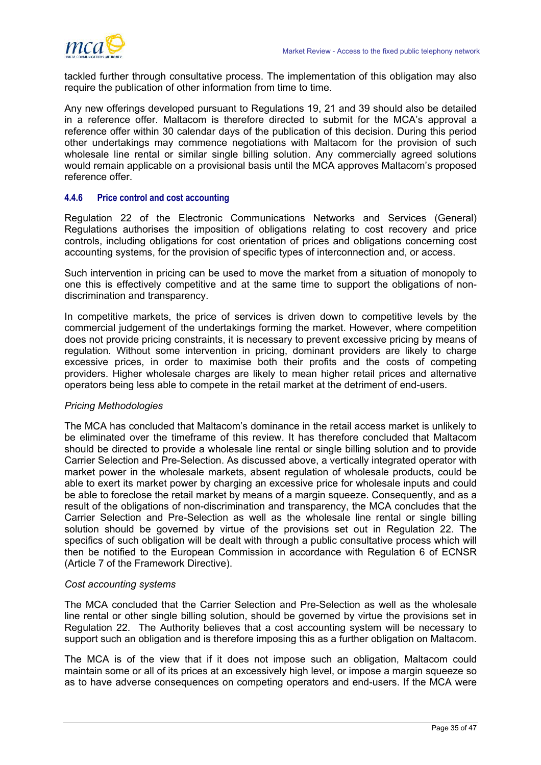

tackled further through consultative process. The implementation of this obligation may also require the publication of other information from time to time.

Any new offerings developed pursuant to Regulations 19, 21 and 39 should also be detailed in a reference offer. Maltacom is therefore directed to submit for the MCA's approval a reference offer within 30 calendar days of the publication of this decision. During this period other undertakings may commence negotiations with Maltacom for the provision of such wholesale line rental or similar single billing solution. Any commercially agreed solutions would remain applicable on a provisional basis until the MCA approves Maltacom's proposed reference offer.

# **4.4.6 Price control and cost accounting**

Regulation 22 of the Electronic Communications Networks and Services (General) Regulations authorises the imposition of obligations relating to cost recovery and price controls, including obligations for cost orientation of prices and obligations concerning cost accounting systems, for the provision of specific types of interconnection and, or access.

Such intervention in pricing can be used to move the market from a situation of monopoly to one this is effectively competitive and at the same time to support the obligations of nondiscrimination and transparency.

In competitive markets, the price of services is driven down to competitive levels by the commercial judgement of the undertakings forming the market. However, where competition does not provide pricing constraints, it is necessary to prevent excessive pricing by means of regulation. Without some intervention in pricing, dominant providers are likely to charge excessive prices, in order to maximise both their profits and the costs of competing providers. Higher wholesale charges are likely to mean higher retail prices and alternative operators being less able to compete in the retail market at the detriment of end-users.

# *Pricing Methodologies*

The MCA has concluded that Maltacom's dominance in the retail access market is unlikely to be eliminated over the timeframe of this review. It has therefore concluded that Maltacom should be directed to provide a wholesale line rental or single billing solution and to provide Carrier Selection and Pre-Selection. As discussed above, a vertically integrated operator with market power in the wholesale markets, absent regulation of wholesale products, could be able to exert its market power by charging an excessive price for wholesale inputs and could be able to foreclose the retail market by means of a margin squeeze. Consequently, and as a result of the obligations of non-discrimination and transparency, the MCA concludes that the Carrier Selection and Pre-Selection as well as the wholesale line rental or single billing solution should be governed by virtue of the provisions set out in Regulation 22. The specifics of such obligation will be dealt with through a public consultative process which will then be notified to the European Commission in accordance with Regulation 6 of ECNSR (Article 7 of the Framework Directive).

#### *Cost accounting systems*

The MCA concluded that the Carrier Selection and Pre-Selection as well as the wholesale line rental or other single billing solution, should be governed by virtue the provisions set in Regulation 22. The Authority believes that a cost accounting system will be necessary to support such an obligation and is therefore imposing this as a further obligation on Maltacom.

The MCA is of the view that if it does not impose such an obligation, Maltacom could maintain some or all of its prices at an excessively high level, or impose a margin squeeze so as to have adverse consequences on competing operators and end-users. If the MCA were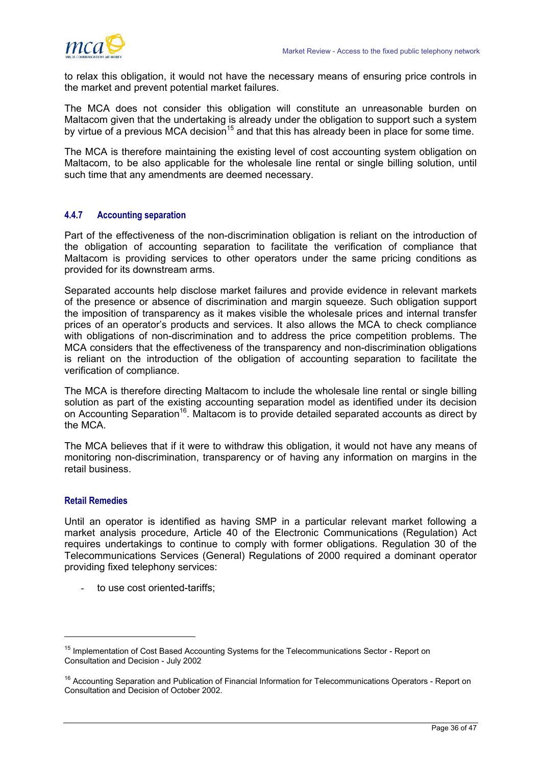

to relax this obligation, it would not have the necessary means of ensuring price controls in the market and prevent potential market failures.

The MCA does not consider this obligation will constitute an unreasonable burden on Maltacom given that the undertaking is already under the obligation to support such a system by virtue of a previous MCA decision<sup>15</sup> and that this has already been in place for some time.

The MCA is therefore maintaining the existing level of cost accounting system obligation on Maltacom, to be also applicable for the wholesale line rental or single billing solution, until such time that any amendments are deemed necessary.

#### **4.4.7 Accounting separation**

Part of the effectiveness of the non-discrimination obligation is reliant on the introduction of the obligation of accounting separation to facilitate the verification of compliance that Maltacom is providing services to other operators under the same pricing conditions as provided for its downstream arms.

Separated accounts help disclose market failures and provide evidence in relevant markets of the presence or absence of discrimination and margin squeeze. Such obligation support the imposition of transparency as it makes visible the wholesale prices and internal transfer prices of an operator's products and services. It also allows the MCA to check compliance with obligations of non-discrimination and to address the price competition problems. The MCA considers that the effectiveness of the transparency and non-discrimination obligations is reliant on the introduction of the obligation of accounting separation to facilitate the verification of compliance.

The MCA is therefore directing Maltacom to include the wholesale line rental or single billing solution as part of the existing accounting separation model as identified under its decision on Accounting Separation<sup>16</sup>. Maltacom is to provide detailed separated accounts as direct by the MCA.

The MCA believes that if it were to withdraw this obligation, it would not have any means of monitoring non-discrimination, transparency or of having any information on margins in the retail business.

# **Retail Remedies**

l

Until an operator is identified as having SMP in a particular relevant market following a market analysis procedure, Article 40 of the Electronic Communications (Regulation) Act requires undertakings to continue to comply with former obligations. Regulation 30 of the Telecommunications Services (General) Regulations of 2000 required a dominant operator providing fixed telephony services:

- to use cost oriented-tariffs;

<span id="page-38-0"></span><sup>&</sup>lt;sup>15</sup> Implementation of Cost Based Accounting Systems for the Telecommunications Sector - Report on Consultation and Decision - July 2002

<span id="page-38-1"></span><sup>&</sup>lt;sup>16</sup> Accounting Separation and Publication of Financial Information for Telecommunications Operators - Report on Consultation and Decision of October 2002.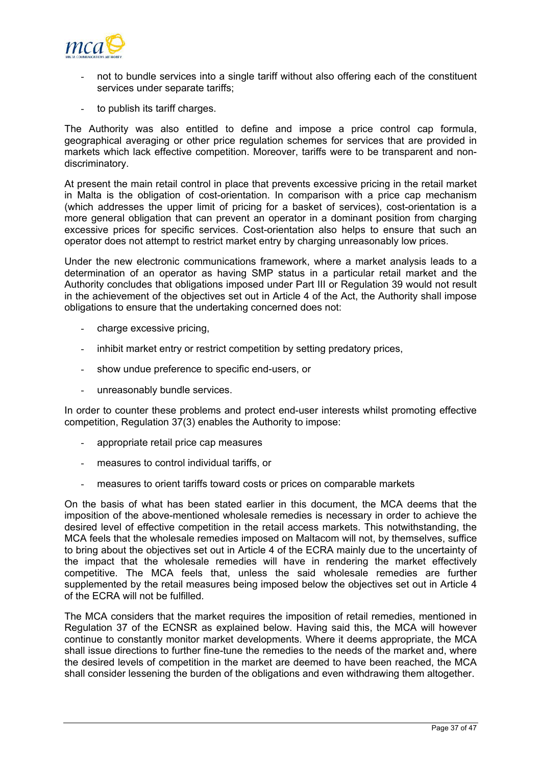

- not to bundle services into a single tariff without also offering each of the constituent services under separate tariffs;
- to publish its tariff charges.

The Authority was also entitled to define and impose a price control cap formula, geographical averaging or other price regulation schemes for services that are provided in markets which lack effective competition. Moreover, tariffs were to be transparent and nondiscriminatory.

At present the main retail control in place that prevents excessive pricing in the retail market in Malta is the obligation of cost-orientation. In comparison with a price cap mechanism (which addresses the upper limit of pricing for a basket of services), cost-orientation is a more general obligation that can prevent an operator in a dominant position from charging excessive prices for specific services. Cost-orientation also helps to ensure that such an operator does not attempt to restrict market entry by charging unreasonably low prices.

Under the new electronic communications framework, where a market analysis leads to a determination of an operator as having SMP status in a particular retail market and the Authority concludes that obligations imposed under Part III or Regulation 39 would not result in the achievement of the objectives set out in Article 4 of the Act, the Authority shall impose obligations to ensure that the undertaking concerned does not:

- charge excessive pricing,
- inhibit market entry or restrict competition by setting predatory prices,
- show undue preference to specific end-users, or
- unreasonably bundle services.

In order to counter these problems and protect end-user interests whilst promoting effective competition, Regulation 37(3) enables the Authority to impose:

- appropriate retail price cap measures
- measures to control individual tariffs, or
- measures to orient tariffs toward costs or prices on comparable markets

On the basis of what has been stated earlier in this document, the MCA deems that the imposition of the above-mentioned wholesale remedies is necessary in order to achieve the desired level of effective competition in the retail access markets. This notwithstanding, the MCA feels that the wholesale remedies imposed on Maltacom will not, by themselves, suffice to bring about the objectives set out in Article 4 of the ECRA mainly due to the uncertainty of the impact that the wholesale remedies will have in rendering the market effectively competitive. The MCA feels that, unless the said wholesale remedies are further supplemented by the retail measures being imposed below the objectives set out in Article 4 of the ECRA will not be fulfilled.

The MCA considers that the market requires the imposition of retail remedies, mentioned in Regulation 37 of the ECNSR as explained below. Having said this, the MCA will however continue to constantly monitor market developments. Where it deems appropriate, the MCA shall issue directions to further fine-tune the remedies to the needs of the market and, where the desired levels of competition in the market are deemed to have been reached, the MCA shall consider lessening the burden of the obligations and even withdrawing them altogether.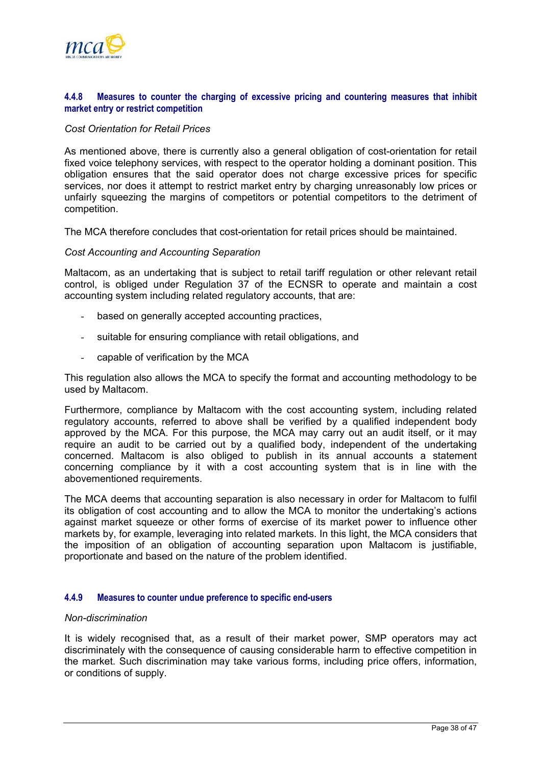

#### **4.4.8 Measures to counter the charging of excessive pricing and countering measures that inhibit market entry or restrict competition**

#### *Cost Orientation for Retail Prices*

As mentioned above, there is currently also a general obligation of cost-orientation for retail fixed voice telephony services, with respect to the operator holding a dominant position. This obligation ensures that the said operator does not charge excessive prices for specific services, nor does it attempt to restrict market entry by charging unreasonably low prices or unfairly squeezing the margins of competitors or potential competitors to the detriment of competition.

The MCA therefore concludes that cost-orientation for retail prices should be maintained.

#### *Cost Accounting and Accounting Separation*

Maltacom, as an undertaking that is subject to retail tariff regulation or other relevant retail control, is obliged under Regulation 37 of the ECNSR to operate and maintain a cost accounting system including related regulatory accounts, that are:

- based on generally accepted accounting practices,
- suitable for ensuring compliance with retail obligations, and
- capable of verification by the MCA

This regulation also allows the MCA to specify the format and accounting methodology to be used by Maltacom.

Furthermore, compliance by Maltacom with the cost accounting system, including related regulatory accounts, referred to above shall be verified by a qualified independent body approved by the MCA. For this purpose, the MCA may carry out an audit itself, or it may require an audit to be carried out by a qualified body, independent of the undertaking concerned. Maltacom is also obliged to publish in its annual accounts a statement concerning compliance by it with a cost accounting system that is in line with the abovementioned requirements.

The MCA deems that accounting separation is also necessary in order for Maltacom to fulfil its obligation of cost accounting and to allow the MCA to monitor the undertaking's actions against market squeeze or other forms of exercise of its market power to influence other markets by, for example, leveraging into related markets. In this light, the MCA considers that the imposition of an obligation of accounting separation upon Maltacom is justifiable, proportionate and based on the nature of the problem identified.

#### **4.4.9 Measures to counter undue preference to specific end-users**

#### *Non-discrimination*

It is widely recognised that, as a result of their market power, SMP operators may act discriminately with the consequence of causing considerable harm to effective competition in the market. Such discrimination may take various forms, including price offers, information, or conditions of supply.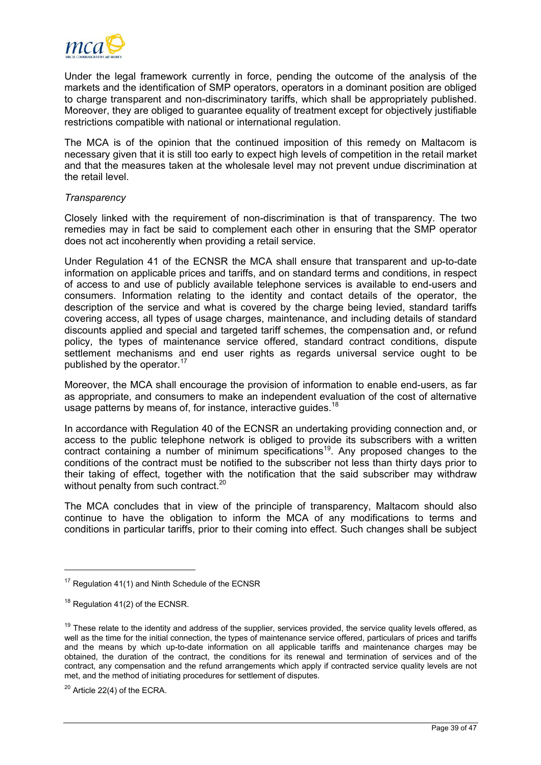

Under the legal framework currently in force, pending the outcome of the analysis of the markets and the identification of SMP operators, operators in a dominant position are obliged to charge transparent and non-discriminatory tariffs, which shall be appropriately published. Moreover, they are obliged to guarantee equality of treatment except for objectively justifiable restrictions compatible with national or international regulation.

The MCA is of the opinion that the continued imposition of this remedy on Maltacom is necessary given that it is still too early to expect high levels of competition in the retail market and that the measures taken at the wholesale level may not prevent undue discrimination at the retail level.

### *Transparency*

Closely linked with the requirement of non-discrimination is that of transparency. The two remedies may in fact be said to complement each other in ensuring that the SMP operator does not act incoherently when providing a retail service.

Under Regulation 41 of the ECNSR the MCA shall ensure that transparent and up-to-date information on applicable prices and tariffs, and on standard terms and conditions, in respect of access to and use of publicly available telephone services is available to end-users and consumers. Information relating to the identity and contact details of the operator, the description of the service and what is covered by the charge being levied, standard tariffs covering access, all types of usage charges, maintenance, and including details of standard discounts applied and special and targeted tariff schemes, the compensation and, or refund policy, the types of maintenance service offered, standard contract conditions, dispute settlement mechanisms and end user rights as regards universal service ought to be published by the operator.<sup>17</sup>

Moreover, the MCA shall encourage the provision of information to enable end-users, as far as appropriate, and consumers to make an independent evaluation of the cost of alternative usage patterns by means of, for instance, interactive quides.<sup>[18](#page-41-1)</sup>

In accordance with Regulation 40 of the ECNSR an undertaking providing connection and, or access to the public telephone network is obliged to provide its subscribers with a written contract containing a number of minimum specifications<sup>19</sup>. Any proposed changes to the conditions of the contract must be notified to the subscriber not less than thirty days prior to their taking of effect, together with the notification that the said subscriber may withdraw without penalty from such contract.<sup>[20](#page-41-3)</sup>

The MCA concludes that in view of the principle of transparency, Maltacom should also continue to have the obligation to inform the MCA of any modifications to terms and conditions in particular tariffs, prior to their coming into effect. Such changes shall be subject

l

<span id="page-41-0"></span> $17$  Regulation 41(1) and Ninth Schedule of the ECNSR

<span id="page-41-1"></span><sup>&</sup>lt;sup>18</sup> Regulation 41(2) of the ECNSR.

<span id="page-41-2"></span> $19$  These relate to the identity and address of the supplier, services provided, the service quality levels offered, as well as the time for the initial connection, the types of maintenance service offered, particulars of prices and tariffs and the means by which up-to-date information on all applicable tariffs and maintenance charges may be obtained, the duration of the contract, the conditions for its renewal and termination of services and of the contract, any compensation and the refund arrangements which apply if contracted service quality levels are not met, and the method of initiating procedures for settlement of disputes.

<span id="page-41-3"></span> $20$  Article 22(4) of the ECRA.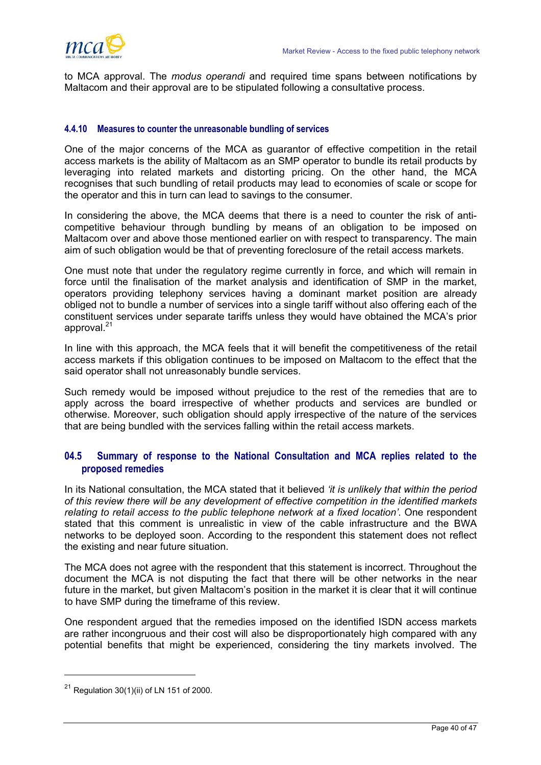<span id="page-42-0"></span>

to MCA approval. The *modus operandi* and required time spans between notifications by Maltacom and their approval are to be stipulated following a consultative process.

## **4.4.10 Measures to counter the unreasonable bundling of services**

One of the major concerns of the MCA as guarantor of effective competition in the retail access markets is the ability of Maltacom as an SMP operator to bundle its retail products by leveraging into related markets and distorting pricing. On the other hand, the MCA recognises that such bundling of retail products may lead to economies of scale or scope for the operator and this in turn can lead to savings to the consumer.

In considering the above, the MCA deems that there is a need to counter the risk of anticompetitive behaviour through bundling by means of an obligation to be imposed on Maltacom over and above those mentioned earlier on with respect to transparency. The main aim of such obligation would be that of preventing foreclosure of the retail access markets.

One must note that under the regulatory regime currently in force, and which will remain in force until the finalisation of the market analysis and identification of SMP in the market, operators providing telephony services having a dominant market position are already obliged not to bundle a number of services into a single tariff without also offering each of the constituent services under separate tariffs unless they would have obtained the MCA's prior approval. $^{21}$  $^{21}$  $^{21}$ 

In line with this approach, the MCA feels that it will benefit the competitiveness of the retail access markets if this obligation continues to be imposed on Maltacom to the effect that the said operator shall not unreasonably bundle services.

Such remedy would be imposed without prejudice to the rest of the remedies that are to apply across the board irrespective of whether products and services are bundled or otherwise. Moreover, such obligation should apply irrespective of the nature of the services that are being bundled with the services falling within the retail access markets.

# **04.5 Summary of response to the National Consultation and MCA replies related to the proposed remedies**

In its National consultation, the MCA stated that it believed *'it is unlikely that within the period of this review there will be any development of effective competition in the identified markets relating to retail access to the public telephone network at a fixed location'*. One respondent stated that this comment is unrealistic in view of the cable infrastructure and the BWA networks to be deployed soon. According to the respondent this statement does not reflect the existing and near future situation.

The MCA does not agree with the respondent that this statement is incorrect. Throughout the document the MCA is not disputing the fact that there will be other networks in the near future in the market, but given Maltacom's position in the market it is clear that it will continue to have SMP during the timeframe of this review.

One respondent argued that the remedies imposed on the identified ISDN access markets are rather incongruous and their cost will also be disproportionately high compared with any potential benefits that might be experienced, considering the tiny markets involved. The

l

<span id="page-42-1"></span> $21$  Regulation 30(1)(ii) of LN 151 of 2000.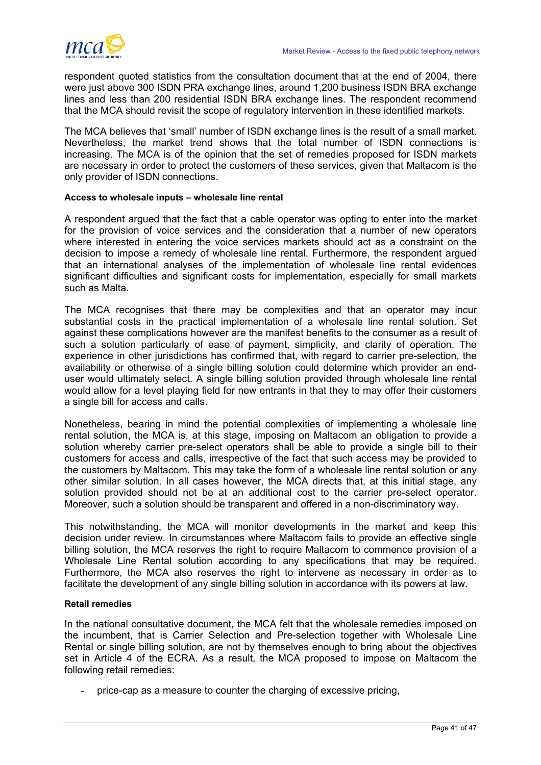

respondent quoted statistics from the consultation document that at the end of 2004, there were just above 300 ISDN PRA exchange lines, around 1,200 business ISDN BRA exchange lines and less than 200 residential ISDN BRA exchange lines. The respondent recommend that the MCA should revisit the scope of regulatory intervention in these identified markets.

The MCA believes that 'small' number of ISDN exchange lines is the result of a small market. Nevertheless, the market trend shows that the total number of ISDN connections is increasing. The MCA is of the opinion that the set of remedies proposed for ISDN markets are necessary in order to protect the customers of these services, given that Maltacom is the only provider of ISDN connections.

#### **Access to wholesale inputs – wholesale line rental**

A respondent argued that the fact that a cable operator was opting to enter into the market for the provision of voice services and the consideration that a number of new operators where interested in entering the voice services markets should act as a constraint on the decision to impose a remedy of wholesale line rental. Furthermore, the respondent argued that an international analyses of the implementation of wholesale line rental evidences significant difficulties and significant costs for implementation, especially for small markets such as Malta.

The MCA recognises that there may be complexities and that an operator may incur substantial costs in the practical implementation of a wholesale line rental solution. Set against these complications however are the manifest benefits to the consumer as a result of such a solution particularly of ease of payment, simplicity, and clarity of operation. The experience in other jurisdictions has confirmed that, with regard to carrier pre-selection, the availability or otherwise of a single billing solution could determine which provider an enduser would ultimately select. A single billing solution provided through wholesale line rental would allow for a level playing field for new entrants in that they to may offer their customers a single bill for access and calls.

Nonetheless, bearing in mind the potential complexities of implementing a wholesale line rental solution, the MCA is, at this stage, imposing on Maltacom an obligation to provide a solution whereby carrier pre-select operators shall be able to provide a single bill to their customers for access and calls, irrespective of the fact that such access may be provided to the customers by Maltacom. This may take the form of a wholesale line rental solution or any other similar solution. In all cases however, the MCA directs that, at this initial stage, any solution provided should not be at an additional cost to the carrier pre-select operator. Moreover, such a solution should be transparent and offered in a non-discriminatory way.

This notwithstanding, the MCA will monitor developments in the market and keep this decision under review. In circumstances where Maltacom fails to provide an effective single billing solution, the MCA reserves the right to require Maltacom to commence provision of a Wholesale Line Rental solution according to any specifications that may be required. Furthermore, the MCA also reserves the right to intervene as necessary in order as to facilitate the development of any single billing solution in accordance with its powers at law.

#### **Retail remedies**

In the national consultative document, the MCA felt that the wholesale remedies imposed on the incumbent, that is Carrier Selection and Pre-selection together with Wholesale Line Rental or single billing solution, are not by themselves enough to bring about the objectives set in Article 4 of the ECRA. As a result, the MCA proposed to impose on Maltacom the following retail remedies:

price-cap as a measure to counter the charging of excessive pricing,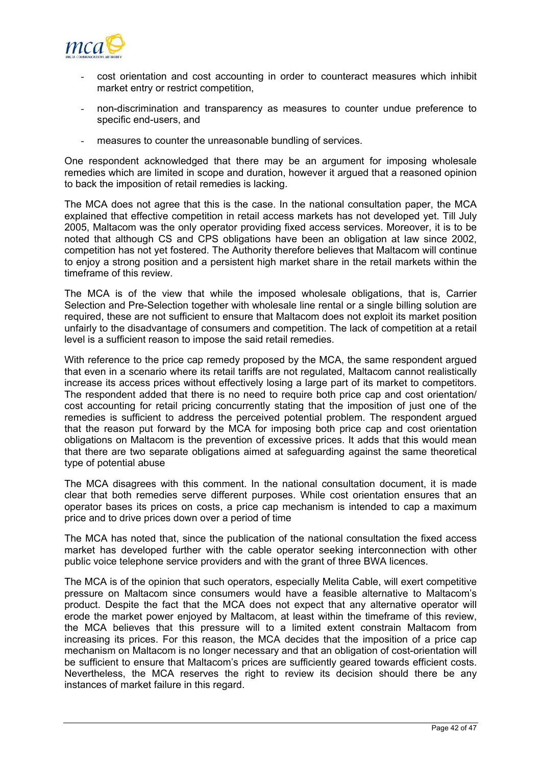

- cost orientation and cost accounting in order to counteract measures which inhibit market entry or restrict competition,
- non-discrimination and transparency as measures to counter undue preference to specific end-users, and
- measures to counter the unreasonable bundling of services.

One respondent acknowledged that there may be an argument for imposing wholesale remedies which are limited in scope and duration, however it argued that a reasoned opinion to back the imposition of retail remedies is lacking.

The MCA does not agree that this is the case. In the national consultation paper, the MCA explained that effective competition in retail access markets has not developed yet. Till July 2005, Maltacom was the only operator providing fixed access services. Moreover, it is to be noted that although CS and CPS obligations have been an obligation at law since 2002, competition has not yet fostered. The Authority therefore believes that Maltacom will continue to enjoy a strong position and a persistent high market share in the retail markets within the timeframe of this review.

The MCA is of the view that while the imposed wholesale obligations, that is, Carrier Selection and Pre-Selection together with wholesale line rental or a single billing solution are required, these are not sufficient to ensure that Maltacom does not exploit its market position unfairly to the disadvantage of consumers and competition. The lack of competition at a retail level is a sufficient reason to impose the said retail remedies.

With reference to the price cap remedy proposed by the MCA, the same respondent argued that even in a scenario where its retail tariffs are not regulated, Maltacom cannot realistically increase its access prices without effectively losing a large part of its market to competitors. The respondent added that there is no need to require both price cap and cost orientation/ cost accounting for retail pricing concurrently stating that the imposition of just one of the remedies is sufficient to address the perceived potential problem. The respondent argued that the reason put forward by the MCA for imposing both price cap and cost orientation obligations on Maltacom is the prevention of excessive prices. It adds that this would mean that there are two separate obligations aimed at safeguarding against the same theoretical type of potential abuse

The MCA disagrees with this comment. In the national consultation document, it is made clear that both remedies serve different purposes. While cost orientation ensures that an operator bases its prices on costs, a price cap mechanism is intended to cap a maximum price and to drive prices down over a period of time

The MCA has noted that, since the publication of the national consultation the fixed access market has developed further with the cable operator seeking interconnection with other public voice telephone service providers and with the grant of three BWA licences.

The MCA is of the opinion that such operators, especially Melita Cable, will exert competitive pressure on Maltacom since consumers would have a feasible alternative to Maltacom's product. Despite the fact that the MCA does not expect that any alternative operator will erode the market power enjoyed by Maltacom, at least within the timeframe of this review, the MCA believes that this pressure will to a limited extent constrain Maltacom from increasing its prices. For this reason, the MCA decides that the imposition of a price cap mechanism on Maltacom is no longer necessary and that an obligation of cost-orientation will be sufficient to ensure that Maltacom's prices are sufficiently geared towards efficient costs. Nevertheless, the MCA reserves the right to review its decision should there be any instances of market failure in this regard.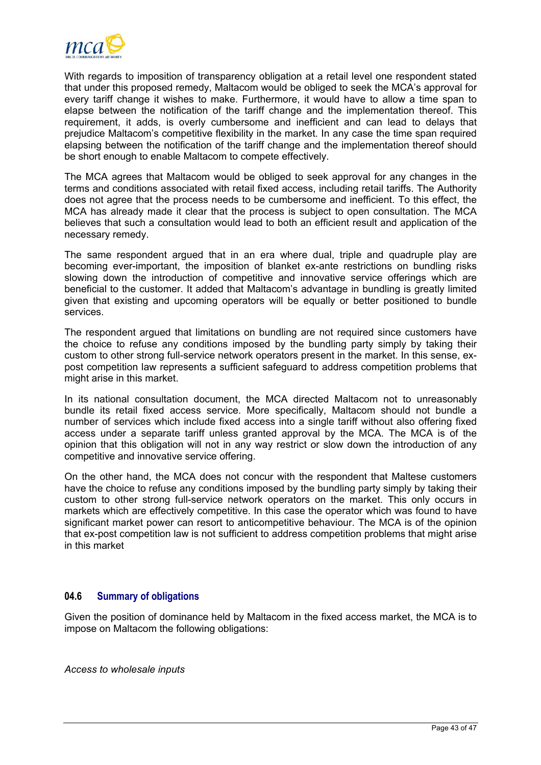<span id="page-45-0"></span>

With regards to imposition of transparency obligation at a retail level one respondent stated that under this proposed remedy, Maltacom would be obliged to seek the MCA's approval for every tariff change it wishes to make. Furthermore, it would have to allow a time span to elapse between the notification of the tariff change and the implementation thereof. This requirement, it adds, is overly cumbersome and inefficient and can lead to delays that prejudice Maltacom's competitive flexibility in the market. In any case the time span required elapsing between the notification of the tariff change and the implementation thereof should be short enough to enable Maltacom to compete effectively.

The MCA agrees that Maltacom would be obliged to seek approval for any changes in the terms and conditions associated with retail fixed access, including retail tariffs. The Authority does not agree that the process needs to be cumbersome and inefficient. To this effect, the MCA has already made it clear that the process is subject to open consultation. The MCA believes that such a consultation would lead to both an efficient result and application of the necessary remedy.

The same respondent argued that in an era where dual, triple and quadruple play are becoming ever-important, the imposition of blanket ex-ante restrictions on bundling risks slowing down the introduction of competitive and innovative service offerings which are beneficial to the customer. It added that Maltacom's advantage in bundling is greatly limited given that existing and upcoming operators will be equally or better positioned to bundle services.

The respondent argued that limitations on bundling are not required since customers have the choice to refuse any conditions imposed by the bundling party simply by taking their custom to other strong full-service network operators present in the market. In this sense, expost competition law represents a sufficient safeguard to address competition problems that might arise in this market.

In its national consultation document, the MCA directed Maltacom not to unreasonably bundle its retail fixed access service. More specifically, Maltacom should not bundle a number of services which include fixed access into a single tariff without also offering fixed access under a separate tariff unless granted approval by the MCA. The MCA is of the opinion that this obligation will not in any way restrict or slow down the introduction of any competitive and innovative service offering.

On the other hand, the MCA does not concur with the respondent that Maltese customers have the choice to refuse any conditions imposed by the bundling party simply by taking their custom to other strong full-service network operators on the market. This only occurs in markets which are effectively competitive. In this case the operator which was found to have significant market power can resort to anticompetitive behaviour. The MCA is of the opinion that ex-post competition law is not sufficient to address competition problems that might arise in this market

# **04.6 Summary of obligations**

Given the position of dominance held by Maltacom in the fixed access market, the MCA is to impose on Maltacom the following obligations:

*Access to wholesale inputs*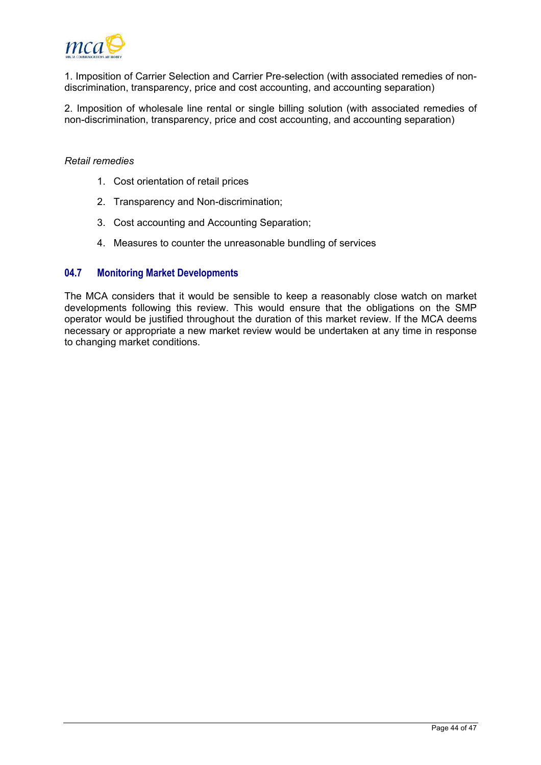<span id="page-46-0"></span>

1. Imposition of Carrier Selection and Carrier Pre-selection (with associated remedies of nondiscrimination, transparency, price and cost accounting, and accounting separation)

2. Imposition of wholesale line rental or single billing solution (with associated remedies of non-discrimination, transparency, price and cost accounting, and accounting separation)

#### *Retail remedies*

- 1. Cost orientation of retail prices
- 2. Transparency and Non-discrimination;
- 3. Cost accounting and Accounting Separation;
- 4. Measures to counter the unreasonable bundling of services

### **04.7 Monitoring Market Developments**

The MCA considers that it would be sensible to keep a reasonably close watch on market developments following this review. This would ensure that the obligations on the SMP operator would be justified throughout the duration of this market review. If the MCA deems necessary or appropriate a new market review would be undertaken at any time in response to changing market conditions.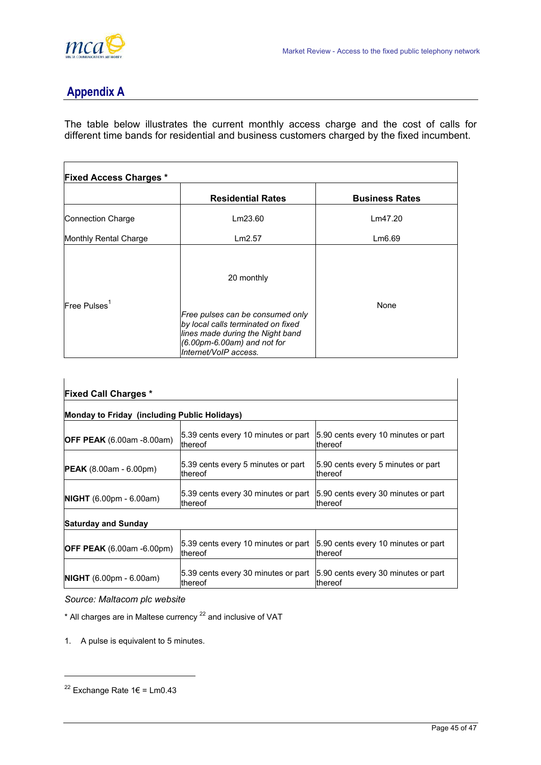<span id="page-47-0"></span>

# **Appendix A**

The table below illustrates the current monthly access charge and the cost of calls for different time bands for residential and business customers charged by the fixed incumbent.

|                          | <b>Residential Rates</b>                                                                                                                                                         | <b>Business Rates</b> |  |
|--------------------------|----------------------------------------------------------------------------------------------------------------------------------------------------------------------------------|-----------------------|--|
| Connection Charge        | Lm23.60                                                                                                                                                                          | Lm47.20               |  |
| Monthly Rental Charge    | Lm2.57                                                                                                                                                                           | Lm6.69                |  |
| Free Pulses <sup>1</sup> | 20 monthly<br>Free pulses can be consumed only<br>by local calls terminated on fixed<br>lines made during the Night band<br>(6.00pm-6.00am) and not for<br>Internet/VoIP access. | None                  |  |

| <b>Fixed Call Charges *</b>                  |                                                |                                                |  |  |
|----------------------------------------------|------------------------------------------------|------------------------------------------------|--|--|
| Monday to Friday (including Public Holidays) |                                                |                                                |  |  |
| <b>OFF PEAK</b> $(6.00am - 8.00am)$          | 5.39 cents every 10 minutes or part<br>thereof | 5.90 cents every 10 minutes or part<br>thereof |  |  |
| <b>PEAK</b> $(8.00am - 6.00pm)$              | 5.39 cents every 5 minutes or part<br>thereof  | 5.90 cents every 5 minutes or part<br>thereof  |  |  |
| $NIGHT (6.00pm - 6.00am)$                    | 5.39 cents every 30 minutes or part<br>thereof | 5.90 cents every 30 minutes or part<br>thereof |  |  |
| <b>Saturday and Sunday</b>                   |                                                |                                                |  |  |
| <b>OFF PEAK</b> (6.00am -6.00pm)             | 5.39 cents every 10 minutes or part<br>thereof | 5.90 cents every 10 minutes or part<br>thereof |  |  |
| $NIGHT (6.00pm - 6.00am)$                    | 5.39 cents every 30 minutes or part<br>thereof | 5.90 cents every 30 minutes or part<br>thereof |  |  |

## *Source: Maltacom plc website*

 $*$  All charges are in Maltese currency  $22$  and inclusive of VAT

1. A pulse is equivalent to 5 minutes.

l

<span id="page-47-1"></span><sup>&</sup>lt;sup>22</sup> Exchange Rate 1€ = Lm0.43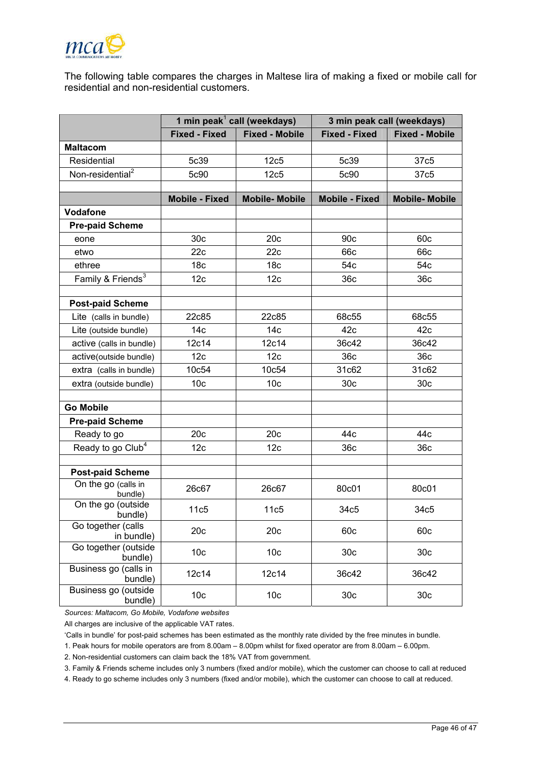

The following table compares the charges in Maltese lira of making a fixed or mobile call for residential and non-residential customers.

|                                                | 1 min peak $^1$ call (weekdays) |                       | 3 min peak call (weekdays) |                       |
|------------------------------------------------|---------------------------------|-----------------------|----------------------------|-----------------------|
|                                                | <b>Fixed - Fixed</b>            | <b>Fixed - Mobile</b> | <b>Fixed - Fixed</b>       | <b>Fixed - Mobile</b> |
| <b>Maltacom</b>                                |                                 |                       |                            |                       |
| Residential                                    | 5c39                            | 12c5                  | 5c39                       | 37c5                  |
| Non-residential <sup>2</sup>                   | 5c90                            | 12c5                  | 5c90                       | 37c5                  |
|                                                |                                 |                       |                            |                       |
|                                                | <b>Mobile - Fixed</b>           | <b>Mobile-Mobile</b>  | <b>Mobile - Fixed</b>      | <b>Mobile-Mobile</b>  |
| <b>Vodafone</b>                                |                                 |                       |                            |                       |
| <b>Pre-paid Scheme</b>                         |                                 |                       |                            |                       |
| eone                                           | 30 <sub>c</sub>                 | 20c                   | 90c                        | 60c                   |
| etwo                                           | 22c                             | 22c                   | 66c                        | 66c                   |
| ethree                                         | 18 <sub>c</sub>                 | 18 <sub>c</sub>       | 54c                        | 54c                   |
| Family & Friends <sup>3</sup>                  | 12c                             | 12 <sub>c</sub>       | 36 <sub>c</sub>            | 36 <sub>c</sub>       |
|                                                |                                 |                       |                            |                       |
| <b>Post-paid Scheme</b>                        |                                 |                       |                            |                       |
| Lite (calls in bundle)                         | 22c85                           | 22c85                 | 68c55                      | 68c55                 |
| Lite (outside bundle)                          | 14c                             | 14c                   | 42c                        | 42c                   |
| active (calls in bundle)                       | 12c14                           | 12c14                 | 36c42                      | 36c42                 |
| active(outside bundle)                         | 12 <sub>c</sub>                 | 12c                   | 36c                        | 36 <sub>c</sub>       |
| extra (calls in bundle)                        | 10c54                           | 10c54                 | 31c62                      | 31c62                 |
| extra (outside bundle)                         | 10 <sub>c</sub>                 | 10 <sub>c</sub>       | 30 <sub>c</sub>            | 30 <sub>c</sub>       |
|                                                |                                 |                       |                            |                       |
| <b>Go Mobile</b>                               |                                 |                       |                            |                       |
| <b>Pre-paid Scheme</b>                         |                                 |                       |                            |                       |
| Ready to go                                    | 20 <sub>c</sub>                 | 20 <sub>c</sub>       | 44c                        | 44c                   |
| Ready to go Club <sup>4</sup>                  | 12c                             | 12c                   | 36 <sub>c</sub>            | 36 <sub>c</sub>       |
|                                                |                                 |                       |                            |                       |
| <b>Post-paid Scheme</b><br>On the go (calls in |                                 |                       |                            |                       |
| bundle)                                        | 26c67                           | 26c67                 | 80c01                      | 80c01                 |
| On the go (outside<br>bundle)                  | 11c5                            | 11c5                  | 34c5                       | 34c5                  |
| Go together (calls<br>in bundle)               | 20c                             | 20c                   | 60c                        | 60c                   |
| Go together (outside<br>bundle)                | 10 <sub>c</sub>                 | 10 <sub>c</sub>       | 30 <sub>c</sub>            | 30 <sub>c</sub>       |
| Business go (calls in<br>bundle)               | 12c14                           | 12c14                 | 36c42                      | 36c42                 |
| Business go (outside<br>bundle)                | 10 <sub>c</sub>                 | 10 <sub>c</sub>       | 30 <sub>c</sub>            | 30 <sub>c</sub>       |

*Sources: Maltacom, Go Mobile, Vodafone websites* 

All charges are inclusive of the applicable VAT rates.

'Calls in bundle' for post-paid schemes has been estimated as the monthly rate divided by the free minutes in bundle.

1. Peak hours for mobile operators are from 8.00am – 8.00pm whilst for fixed operator are from 8.00am – 6.00pm.

2. Non-residential customers can claim back the 18% VAT from government.

3. Family & Friends scheme includes only 3 numbers (fixed and/or mobile), which the customer can choose to call at reduced

4. Ready to go scheme includes only 3 numbers (fixed and/or mobile), which the customer can choose to call at reduced.